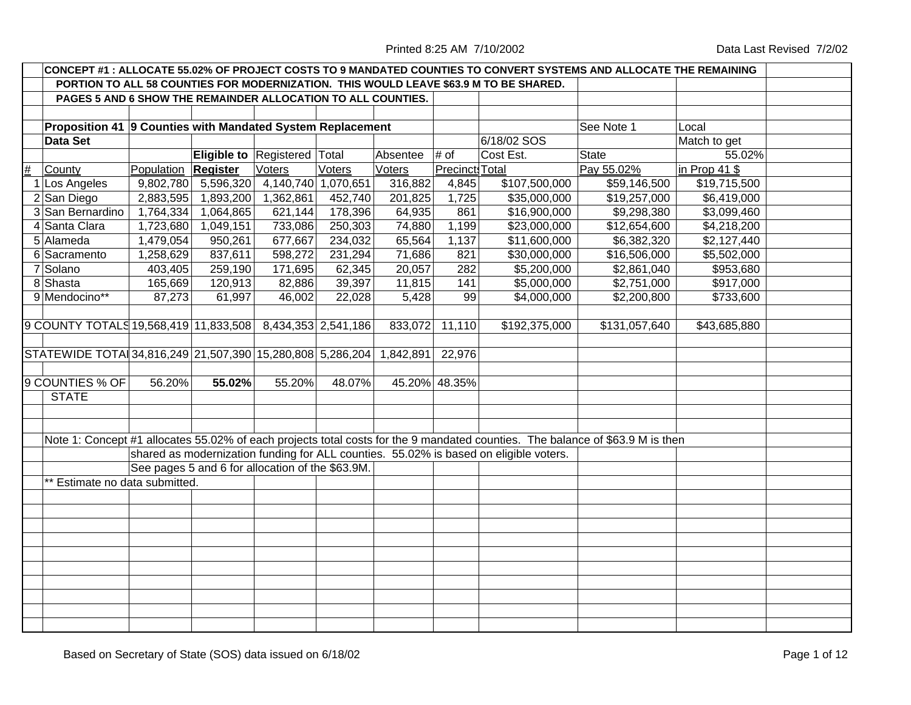|   | CONCEPT #1: ALLOCATE 55.02% OF PROJECT COSTS TO 9 MANDATED COUNTIES TO CONVERT SYSTEMS AND ALLOCATE THE REMAINING |                     |           |                                                  |         |          |                        |                                                                                                                               |               |                 |  |  |
|---|-------------------------------------------------------------------------------------------------------------------|---------------------|-----------|--------------------------------------------------|---------|----------|------------------------|-------------------------------------------------------------------------------------------------------------------------------|---------------|-----------------|--|--|
|   |                                                                                                                   |                     |           |                                                  |         |          |                        | PORTION TO ALL 58 COUNTIES FOR MODERNIZATION. THIS WOULD LEAVE \$63.9 M TO BE SHARED.                                         |               |                 |  |  |
|   | PAGES 5 AND 6 SHOW THE REMAINDER ALLOCATION TO ALL COUNTIES.                                                      |                     |           |                                                  |         |          |                        |                                                                                                                               |               |                 |  |  |
|   |                                                                                                                   |                     |           |                                                  |         |          |                        |                                                                                                                               |               |                 |  |  |
|   | Proposition 41 9 Counties with Mandated System Replacement                                                        |                     |           |                                                  |         |          |                        |                                                                                                                               | See Note 1    | Local           |  |  |
|   | <b>Data Set</b>                                                                                                   |                     |           |                                                  |         |          |                        | 6/18/02 SOS                                                                                                                   |               | Match to get    |  |  |
|   |                                                                                                                   |                     |           | Eligible to Registered Total                     |         | Absentee | # of                   | Cost Est.                                                                                                                     | <b>State</b>  | 55.02%          |  |  |
| # | County                                                                                                            | Population Register |           | Voters                                           | Voters  | Voters   | <b>Precinct: Total</b> |                                                                                                                               | Pay 55.02%    | in Prop $41$ \$ |  |  |
|   | 1 Los Angeles                                                                                                     | 9,802,780           | 5,596,320 | 4,140,740 1,070,651                              |         | 316,882  | 4,845                  | \$107,500,000                                                                                                                 | \$59,146,500  | \$19,715,500    |  |  |
|   | 2 San Diego                                                                                                       | 2,883,595           | 1,893,200 | 1,362,861                                        | 452,740 | 201,825  | 1,725                  | \$35,000,000                                                                                                                  | \$19,257,000  | \$6,419,000     |  |  |
|   | 3 San Bernardino                                                                                                  | 1,764,334           | 1,064,865 | 621,144                                          | 178,396 | 64,935   | 861                    | \$16,900,000                                                                                                                  | \$9,298,380   | \$3,099,460     |  |  |
|   | 4 Santa Clara                                                                                                     | 1,723,680           | 1,049,151 | 733,086                                          | 250,303 | 74,880   | 1,199                  | \$23,000,000                                                                                                                  | \$12,654,600  | \$4,218,200     |  |  |
|   | 5 Alameda                                                                                                         | 1,479,054           | 950,261   | 677,667                                          | 234,032 | 65,564   | 1,137                  | \$11,600,000                                                                                                                  | \$6,382,320   | \$2,127,440     |  |  |
|   | 6 Sacramento                                                                                                      | 1,258,629           | 837,611   | 598,272                                          | 231,294 | 71,686   | 821                    | \$30,000,000                                                                                                                  | \$16,506,000  | \$5,502,000     |  |  |
|   | 7 Solano                                                                                                          | 403,405             | 259,190   | 171,695                                          | 62,345  | 20,057   | 282                    | \$5,200,000                                                                                                                   | \$2,861,040   | \$953,680       |  |  |
|   | 8 Shasta                                                                                                          | 165,669             | 120,913   | 82,886                                           | 39,397  | 11,815   | $\overline{141}$       | \$5,000,000                                                                                                                   | \$2,751,000   | \$917,000       |  |  |
|   | 9 Mendocino**                                                                                                     | 87,273              | 61,997    | 46,002                                           | 22,028  | 5,428    | 99                     | $\sqrt{24,000,000}$                                                                                                           | \$2,200,800   | \$733,600       |  |  |
|   |                                                                                                                   |                     |           |                                                  |         |          |                        |                                                                                                                               |               |                 |  |  |
|   | 9 COUNTY TOTALS 19,568,419 11,833,508 8,434,353 2,541,186                                                         |                     |           |                                                  |         | 833,072  | 11,110                 | \$192,375,000                                                                                                                 | \$131,057,640 | \$43,685,880    |  |  |
|   |                                                                                                                   |                     |           |                                                  |         |          |                        |                                                                                                                               |               |                 |  |  |
|   | STATEWIDE TOTA 34,816,249 21,507,390 15,280,808 5,286,204 1,842,891                                               |                     |           |                                                  |         |          | 22,976                 |                                                                                                                               |               |                 |  |  |
|   |                                                                                                                   |                     |           |                                                  |         |          |                        |                                                                                                                               |               |                 |  |  |
|   | 9 COUNTIES % OF                                                                                                   | 56.20%              | 55.02%    | 55.20%                                           | 48.07%  |          | 45.20% 48.35%          |                                                                                                                               |               |                 |  |  |
|   | <b>STATE</b>                                                                                                      |                     |           |                                                  |         |          |                        |                                                                                                                               |               |                 |  |  |
|   |                                                                                                                   |                     |           |                                                  |         |          |                        |                                                                                                                               |               |                 |  |  |
|   |                                                                                                                   |                     |           |                                                  |         |          |                        |                                                                                                                               |               |                 |  |  |
|   |                                                                                                                   |                     |           |                                                  |         |          |                        | Note 1: Concept #1 allocates 55.02% of each projects total costs for the 9 mandated counties. The balance of \$63.9 M is then |               |                 |  |  |
|   |                                                                                                                   |                     |           |                                                  |         |          |                        | shared as modernization funding for ALL counties. 55.02% is based on eligible voters.                                         |               |                 |  |  |
|   |                                                                                                                   |                     |           | See pages 5 and 6 for allocation of the \$63.9M. |         |          |                        |                                                                                                                               |               |                 |  |  |
|   | ** Estimate no data submitted.                                                                                    |                     |           |                                                  |         |          |                        |                                                                                                                               |               |                 |  |  |
|   |                                                                                                                   |                     |           |                                                  |         |          |                        |                                                                                                                               |               |                 |  |  |
|   |                                                                                                                   |                     |           |                                                  |         |          |                        |                                                                                                                               |               |                 |  |  |
|   |                                                                                                                   |                     |           |                                                  |         |          |                        |                                                                                                                               |               |                 |  |  |
|   |                                                                                                                   |                     |           |                                                  |         |          |                        |                                                                                                                               |               |                 |  |  |
|   |                                                                                                                   |                     |           |                                                  |         |          |                        |                                                                                                                               |               |                 |  |  |
|   |                                                                                                                   |                     |           |                                                  |         |          |                        |                                                                                                                               |               |                 |  |  |
|   |                                                                                                                   |                     |           |                                                  |         |          |                        |                                                                                                                               |               |                 |  |  |
|   |                                                                                                                   |                     |           |                                                  |         |          |                        |                                                                                                                               |               |                 |  |  |
|   |                                                                                                                   |                     |           |                                                  |         |          |                        |                                                                                                                               |               |                 |  |  |
|   |                                                                                                                   |                     |           |                                                  |         |          |                        |                                                                                                                               |               |                 |  |  |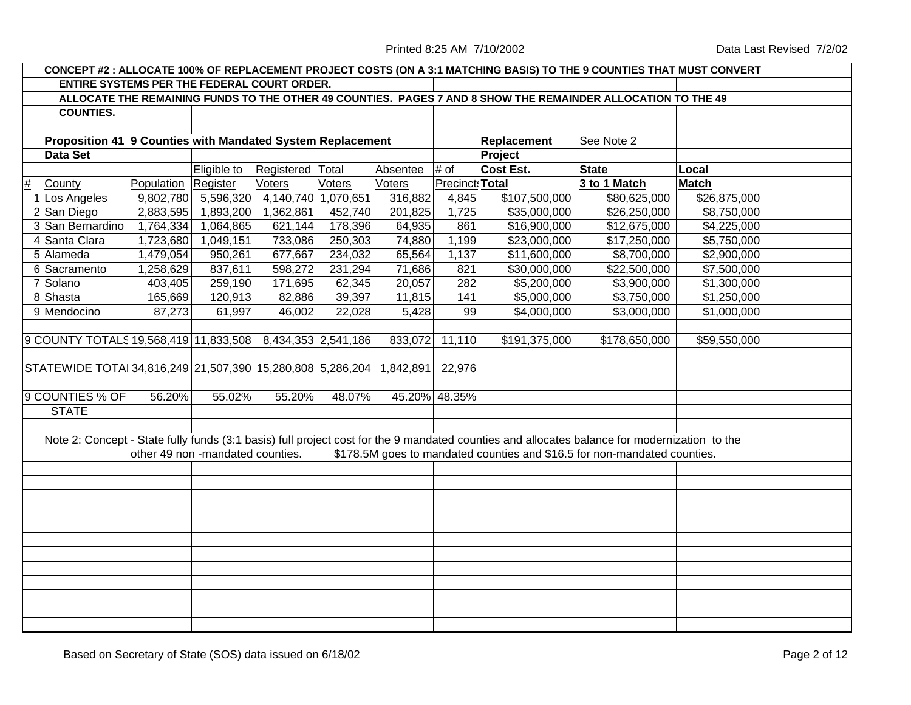| CONCEPT #2 : ALLOCATE 100% OF REPLACEMENT PROJECT COSTS (ON A 3:1 MATCHING BASIS) TO THE 9 COUNTIES THAT MUST CONVERT |                                                                     |                                  |             |                     |         |          |                        |                                                                                                                                              |               |              |  |
|-----------------------------------------------------------------------------------------------------------------------|---------------------------------------------------------------------|----------------------------------|-------------|---------------------|---------|----------|------------------------|----------------------------------------------------------------------------------------------------------------------------------------------|---------------|--------------|--|
|                                                                                                                       | ENTIRE SYSTEMS PER THE FEDERAL COURT ORDER.                         |                                  |             |                     |         |          |                        |                                                                                                                                              |               |              |  |
|                                                                                                                       |                                                                     |                                  |             |                     |         |          |                        | ALLOCATE THE REMAINING FUNDS TO THE OTHER 49 COUNTIES. PAGES 7 AND 8 SHOW THE REMAINDER ALLOCATION TO THE 49                                 |               |              |  |
|                                                                                                                       | <b>COUNTIES.</b>                                                    |                                  |             |                     |         |          |                        |                                                                                                                                              |               |              |  |
|                                                                                                                       |                                                                     |                                  |             |                     |         |          |                        |                                                                                                                                              |               |              |  |
|                                                                                                                       | Proposition 41 9 Counties with Mandated System Replacement          |                                  |             |                     |         |          |                        | Replacement                                                                                                                                  | See Note 2    |              |  |
|                                                                                                                       | <b>Data Set</b>                                                     |                                  |             |                     |         |          |                        | Project                                                                                                                                      |               |              |  |
|                                                                                                                       |                                                                     |                                  | Eligible to | Registered Total    |         | Absentee | $#$ of                 | Cost Est.                                                                                                                                    | <b>State</b>  | Local        |  |
| #                                                                                                                     | County                                                              | Population Register              |             | Voters              | Voters  | Voters   | <b>Precinct: Total</b> |                                                                                                                                              | 3 to 1 Match  | <b>Match</b> |  |
|                                                                                                                       | 1 Los Angeles                                                       | 9,802,780                        | 5,596,320   | 4,140,740 1,070,651 |         | 316,882  | 4,845                  | \$107,500,000                                                                                                                                | \$80,625,000  | \$26,875,000 |  |
|                                                                                                                       | 2 San Diego                                                         | 2,883,595                        | 1,893,200   | 1,362,861           | 452,740 | 201,825  | 1,725                  | \$35,000,000                                                                                                                                 | \$26,250,000  | \$8,750,000  |  |
|                                                                                                                       | 3 San Bernardino                                                    | 1,764,334                        | 1,064,865   | 621,144             | 178,396 | 64,935   | 861                    | \$16,900,000                                                                                                                                 | \$12,675,000  | \$4,225,000  |  |
|                                                                                                                       | 4 Santa Clara                                                       | 1,723,680                        | 1,049,151   | 733,086             | 250,303 | 74,880   | 1,199                  | \$23,000,000                                                                                                                                 | \$17,250,000  | \$5,750,000  |  |
|                                                                                                                       | 5 Alameda                                                           | 1,479,054                        | 950,261     | 677,667             | 234,032 | 65,564   | 1,137                  | \$11,600,000                                                                                                                                 | \$8,700,000   | \$2,900,000  |  |
|                                                                                                                       | 6 Sacramento                                                        | 1,258,629                        | 837,611     | 598,272             | 231,294 | 71,686   | 821                    | \$30,000,000                                                                                                                                 | \$22,500,000  | \$7,500,000  |  |
|                                                                                                                       | 7 Solano                                                            | 403,405                          | 259,190     | 171,695             | 62,345  | 20,057   | 282                    | \$5,200,000                                                                                                                                  | \$3,900,000   | \$1,300,000  |  |
|                                                                                                                       | 8 Shasta                                                            | 165,669                          | 120,913     | 82,886              | 39,397  | 11,815   | $\overline{141}$       | \$5,000,000                                                                                                                                  | \$3,750,000   | \$1,250,000  |  |
|                                                                                                                       | 9 Mendocino                                                         | 87,273                           | 61,997      | 46,002              | 22,028  | 5,428    | 99                     | \$4,000,000                                                                                                                                  | \$3,000,000   | \$1,000,000  |  |
|                                                                                                                       |                                                                     |                                  |             |                     |         |          |                        |                                                                                                                                              |               |              |  |
|                                                                                                                       | 9 COUNTY TOTALS 19,568,419 11,833,508 8,434,353 2,541,186           |                                  |             |                     |         | 833,072  | 11,110                 | \$191,375,000                                                                                                                                | \$178,650,000 | \$59,550,000 |  |
|                                                                                                                       |                                                                     |                                  |             |                     |         |          |                        |                                                                                                                                              |               |              |  |
|                                                                                                                       | STATEWIDE TOTA 34,816,249 21,507,390 15,280,808 5,286,204 1,842,891 |                                  |             |                     |         |          | 22,976                 |                                                                                                                                              |               |              |  |
|                                                                                                                       |                                                                     |                                  |             |                     |         |          |                        |                                                                                                                                              |               |              |  |
|                                                                                                                       | 9 COUNTIES % OF                                                     | 56.20%                           | 55.02%      | 55.20%              | 48.07%  |          | 45.20% 48.35%          |                                                                                                                                              |               |              |  |
|                                                                                                                       | <b>STATE</b>                                                        |                                  |             |                     |         |          |                        |                                                                                                                                              |               |              |  |
|                                                                                                                       |                                                                     |                                  |             |                     |         |          |                        |                                                                                                                                              |               |              |  |
|                                                                                                                       |                                                                     |                                  |             |                     |         |          |                        | Note 2: Concept - State fully funds (3:1 basis) full project cost for the 9 mandated counties and allocates balance for modernization to the |               |              |  |
|                                                                                                                       |                                                                     | other 49 non -mandated counties. |             |                     |         |          |                        | \$178.5M goes to mandated counties and \$16.5 for non-mandated counties.                                                                     |               |              |  |
|                                                                                                                       |                                                                     |                                  |             |                     |         |          |                        |                                                                                                                                              |               |              |  |
|                                                                                                                       |                                                                     |                                  |             |                     |         |          |                        |                                                                                                                                              |               |              |  |
|                                                                                                                       |                                                                     |                                  |             |                     |         |          |                        |                                                                                                                                              |               |              |  |
|                                                                                                                       |                                                                     |                                  |             |                     |         |          |                        |                                                                                                                                              |               |              |  |
|                                                                                                                       |                                                                     |                                  |             |                     |         |          |                        |                                                                                                                                              |               |              |  |
|                                                                                                                       |                                                                     |                                  |             |                     |         |          |                        |                                                                                                                                              |               |              |  |
|                                                                                                                       |                                                                     |                                  |             |                     |         |          |                        |                                                                                                                                              |               |              |  |
|                                                                                                                       |                                                                     |                                  |             |                     |         |          |                        |                                                                                                                                              |               |              |  |
|                                                                                                                       |                                                                     |                                  |             |                     |         |          |                        |                                                                                                                                              |               |              |  |
|                                                                                                                       |                                                                     |                                  |             |                     |         |          |                        |                                                                                                                                              |               |              |  |
|                                                                                                                       |                                                                     |                                  |             |                     |         |          |                        |                                                                                                                                              |               |              |  |
|                                                                                                                       |                                                                     |                                  |             |                     |         |          |                        |                                                                                                                                              |               |              |  |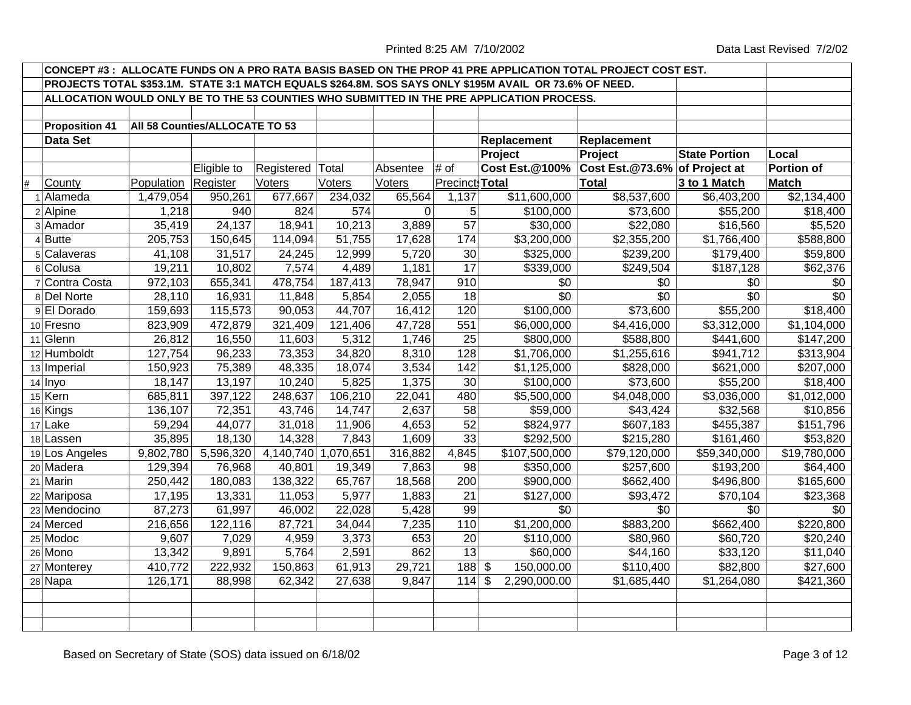| CONCEPT #3 : ALLOCATE FUNDS ON A PRO RATA BASIS BASED ON THE PROP 41 PRE APPLICATION TOTAL PROJECT COST EST. |                       |                                |             |                     |         |               |                  |                                                                                                        |                               |                      |                   |
|--------------------------------------------------------------------------------------------------------------|-----------------------|--------------------------------|-------------|---------------------|---------|---------------|------------------|--------------------------------------------------------------------------------------------------------|-------------------------------|----------------------|-------------------|
|                                                                                                              |                       |                                |             |                     |         |               |                  | PROJECTS TOTAL \$353.1M. STATE 3:1 MATCH EQUALS \$264.8M. SOS SAYS ONLY \$195M AVAIL OR 73.6% OF NEED. |                               |                      |                   |
|                                                                                                              |                       |                                |             |                     |         |               |                  | ALLOCATION WOULD ONLY BE TO THE 53 COUNTIES WHO SUBMITTED IN THE PRE APPLICATION PROCESS.              |                               |                      |                   |
|                                                                                                              |                       |                                |             |                     |         |               |                  |                                                                                                        |                               |                      |                   |
|                                                                                                              | <b>Proposition 41</b> | All 58 Counties/ALLOCATE TO 53 |             |                     |         |               |                  |                                                                                                        |                               |                      |                   |
|                                                                                                              | <b>Data Set</b>       |                                |             |                     |         |               |                  | Replacement                                                                                            | Replacement                   |                      |                   |
|                                                                                                              |                       |                                |             |                     |         |               |                  | Project                                                                                                | Project                       | <b>State Portion</b> | Local             |
|                                                                                                              |                       |                                | Eligible to | Registered Total    |         | Absentee      | # of             | Cost Est.@100%                                                                                         | Cost Est.@73.6% of Project at |                      | <b>Portion of</b> |
| #                                                                                                            | County                | Population                     | Register    | <b>Voters</b>       | Voters  | <b>Voters</b> | Precinct: Total  |                                                                                                        | <b>Total</b>                  | 3 to 1 Match         | <b>Match</b>      |
|                                                                                                              | 1 Alameda             | 1,479,054                      | 950,261     | 677,667             | 234,032 | 65,564        | 1,137            | \$11,600,000                                                                                           | \$8,537,600                   | \$6,403,200          | \$2,134,400       |
|                                                                                                              | 2 Alpine              | 1,218                          | 940         | 824                 | 574     | $\Omega$      | 5                | $\sqrt{$100,000}$                                                                                      | \$73,600                      | \$55,200             | \$18,400          |
|                                                                                                              | 3 Amador              | 35,419                         | 24,137      | 18,941              | 10,213  | 3,889         | 57               | \$30,000                                                                                               | \$22,080                      | \$16,560             | \$5,520           |
|                                                                                                              | 4Butte                | 205,753                        | 150,645     | 114,094             | 51,755  | 17,628        | 174              | $\overline{$3,200,000}$                                                                                | \$2,355,200                   | \$1,766,400          | \$588,800         |
|                                                                                                              | 5 Calaveras           | 41,108                         | 31,517      | 24,245              | 12,999  | 5,720         | 30               | \$325,000                                                                                              | \$239,200                     | \$179,400            | \$59,800          |
|                                                                                                              | 6 Colusa              | 19,211                         | 10,802      | 7,574               | 4,489   | 1,181         | 17               | \$339,000                                                                                              | \$249,504                     | \$187,128            | \$62,376          |
|                                                                                                              | 7 Contra Costa        | 972,103                        | 655,341     | 478,754             | 187,413 | 78,947        | $\overline{910}$ | $\overline{50}$                                                                                        | $\overline{50}$               | $\sqrt{60}$          | $\sqrt[6]{3}$     |
|                                                                                                              | 8 Del Norte           | 28,110                         | 16,931      | 11,848              | 5,854   | 2,055         | $\overline{18}$  | \$0                                                                                                    | \$0                           | $\overline{50}$      | \$0               |
|                                                                                                              | 9 El Dorado           | 159,693                        | 115,573     | 90,053              | 44,707  | 16,412        | 120              | \$100,000                                                                                              | \$73,600                      | \$55,200             | \$18,400          |
|                                                                                                              | 10 Fresno             | 823,909                        | 472,879     | 321,409             | 121,406 | 47,728        | 551              | \$6,000,000                                                                                            | \$4,416,000                   | \$3,312,000          | \$1,104,000       |
|                                                                                                              | 11 Glenn              | 26,812                         | 16,550      | 11,603              | 5,312   | 1,746         | 25               | \$800,000                                                                                              | \$588,800                     | \$441,600            | \$147,200         |
|                                                                                                              | 12 Humboldt           | 127,754                        | 96,233      | 73,353              | 34,820  | 8,310         | 128              | \$1,706,000                                                                                            | \$1,255,616                   | \$941,712            | \$313,904         |
|                                                                                                              | 13 Imperial           | 150,923                        | 75,389      | 48,335              | 18,074  | 3,534         | 142              | \$1,125,000                                                                                            | \$828,000                     | \$621,000            | \$207,000         |
|                                                                                                              | 14 Inyo               | 18,147                         | 13,197      | 10,240              | 5,825   | 1,375         | 30               | \$100,000                                                                                              | \$73,600                      | \$55,200             | \$18,400          |
|                                                                                                              | 15 Kern               | 685,811                        | 397,122     | 248,637             | 106,210 | 22,041        | 480              | \$5,500,000                                                                                            | \$4,048,000                   | \$3,036,000          | \$1,012,000       |
|                                                                                                              | 16 Kings              | 136,107                        | 72,351      | 43,746              | 14,747  | 2,637         | 58               | \$59,000                                                                                               | \$43,424                      | \$32,568             | \$10,856          |
|                                                                                                              | 17 Lake               | 59,294                         | 44,077      | 31,018              | 11,906  | 4,653         | 52               | \$824,977                                                                                              | \$607,183                     | \$455,387            | \$151,796         |
|                                                                                                              | 18 Lassen             | 35,895                         | 18,130      | 14,328              | 7,843   | 1,609         | 33               | \$292,500                                                                                              | \$215,280                     | \$161,460            | \$53,820          |
|                                                                                                              | 19 Los Angeles        | 9,802,780                      | 5,596,320   | 4,140,740 1,070,651 |         | 316,882       | 4,845            | \$107,500,000                                                                                          | \$79,120,000                  | \$59,340,000         | \$19,780,000      |
|                                                                                                              | 20 Madera             | 129,394                        | 76,968      | 40,801              | 19,349  | 7,863         | 98               | \$350,000                                                                                              | \$257,600                     | \$193,200            | \$64,400          |
|                                                                                                              | 21 Marin              | 250,442                        | 180,083     | 138,322             | 65,767  | 18,568        | 200              | \$900,000                                                                                              | \$662,400                     | \$496,800            | \$165,600         |
|                                                                                                              | 22 Mariposa           | 17,195                         | 13,331      | 11,053              | 5,977   | 1,883         | 21               | \$127,000                                                                                              | \$93,472                      | \$70,104             | \$23,368          |
|                                                                                                              | 23 Mendocino          | 87,273                         | 61,997      | 46,002              | 22,028  | 5,428         | 99               | \$0                                                                                                    | \$0                           | \$0                  | \$0               |
|                                                                                                              | 24 Merced             | 216,656                        | 122,116     | 87,721              | 34,044  | 7,235         | 110              | \$1,200,000                                                                                            | \$883,200                     | \$662,400            | \$220,800         |
|                                                                                                              | 25 Modoc              | 9,607                          | 7,029       | 4,959               | 3,373   | 653           | 20               | \$110,000                                                                                              | \$80,960                      | \$60,720             | \$20,240          |
|                                                                                                              | 26 Mono               | 13,342                         | 9,891       | 5,764               | 2,591   | 862           | 13               | \$60,000                                                                                               | \$44,160                      | \$33,120             | \$11,040          |
|                                                                                                              | 27 Monterey           | 410,772                        | 222,932     | 150,863             | 61,913  | 29,721        | $188$ \$         | 150,000.00                                                                                             | \$110,400                     | \$82,800             | \$27,600          |
|                                                                                                              | 28 Napa               | 126,171                        | 88,998      | 62,342              | 27,638  | 9,847         | 114              | $\boldsymbol{\mathsf{S}}$<br>2,290,000.00                                                              | \$1,685,440                   | \$1,264,080          | \$421,360         |
|                                                                                                              |                       |                                |             |                     |         |               |                  |                                                                                                        |                               |                      |                   |
|                                                                                                              |                       |                                |             |                     |         |               |                  |                                                                                                        |                               |                      |                   |
|                                                                                                              |                       |                                |             |                     |         |               |                  |                                                                                                        |                               |                      |                   |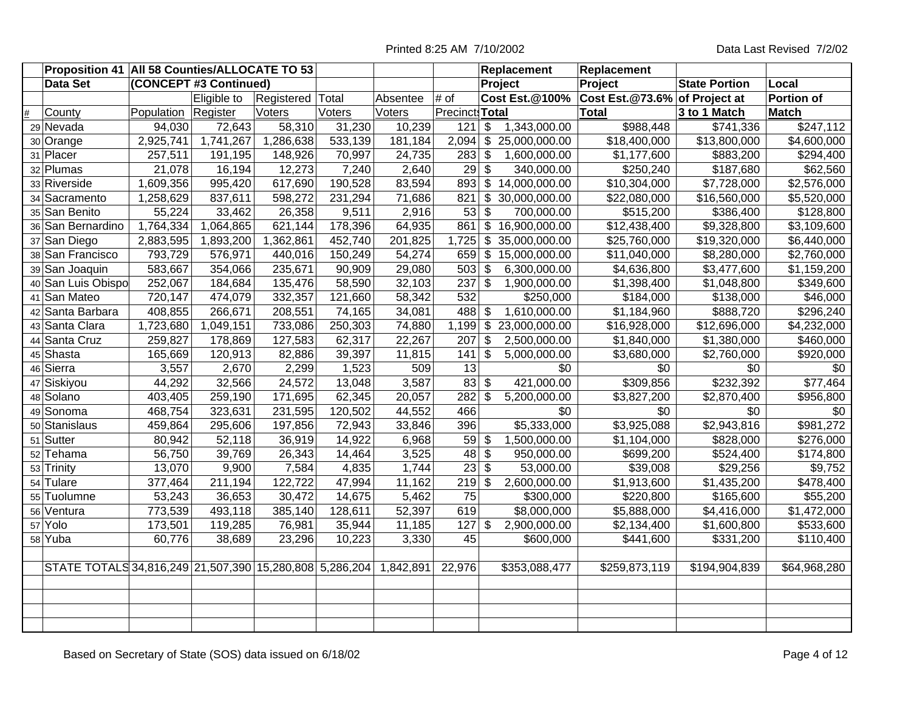| Proposition 41   All 58 Counties/ALLOCATE TO 53<br>(CONCEPT #3 Continued) |            |             |                  |         |           |                 | Replacement               | Replacement   |                                              |                          |                   |
|---------------------------------------------------------------------------|------------|-------------|------------------|---------|-----------|-----------------|---------------------------|---------------|----------------------------------------------|--------------------------|-------------------|
| <b>Data Set</b>                                                           |            |             |                  |         |           |                 |                           | Project       | Project                                      | <b>State Portion</b>     | Local             |
|                                                                           |            | Eligible to | Registered Total |         | Absentee  | # of            |                           |               | Cost Est.@100% Cost Est.@73.6% of Project at |                          | <b>Portion of</b> |
| #<br>County                                                               | Population | Register    | Voters           | Voters  | Voters    | Precinct: Total |                           |               | <b>Total</b>                                 | 3 to 1 Match             | <b>Match</b>      |
| 29 Nevada                                                                 | 94,030     | 72,643      | 58,310           | 31,230  | 10,239    | 121             | $\frac{1}{2}$             | 1,343,000.00  | \$988,448                                    | \$741,336                | \$247,112         |
| 30 Orange                                                                 | 2,925,741  | 1,741,267   | 1,286,638        | 533,139 | 181,184   | 2,094           | $\boldsymbol{\mathsf{S}}$ | 25,000,000.00 | \$18,400,000                                 | \$13,800,000             | \$4,600,000       |
| 31 Placer                                                                 | 257,511    | 191,195     | 148,926          | 70,997  | 24,735    | 283             | \$                        | 1,600,000.00  | \$1,177,600                                  | \$883,200                | \$294,400         |
| 32 Plumas                                                                 | 21,078     | 16,194      | 12,273           | 7,240   | 2,640     | 29              | \$                        | 340,000.00    | \$250,240                                    | \$187,680                | \$62,560          |
| 33 Riverside                                                              | 1,609,356  | 995,420     | 617,690          | 190,528 | 83,594    | 893             | $$^{\circ}$               | 14,000,000.00 | $\overline{$}10,304,000$                     | \$7,728,000              | \$2,576,000       |
| 34 Sacramento                                                             | 1,258,629  | 837,611     | 598,272          | 231,294 | 71,686    | 821             | $\boldsymbol{\mathsf{s}}$ | 30,000,000.00 | \$22,080,000                                 | \$16,560,000             | \$5,520,000       |
| 35 San Benito                                                             | 55,224     | 33,462      | 26,358           | 9,511   | 2,916     | 53              | $\boldsymbol{\mathsf{S}}$ | 700,000.00    | \$515,200                                    | \$386,400                | \$128,800         |
| 36 San Bernardino                                                         | 1,764,334  | 1,064,865   | 621,144          | 178,396 | 64,935    | 861             | $\sqrt[6]{\frac{1}{2}}$   | 16,900,000.00 | \$12,438,400                                 | \$9,328,800              | \$3,109,600       |
| 37 San Diego                                                              | 2,883,595  | 1,893,200   | 1,362,861        | 452,740 | 201,825   | 1,725           | $\sqrt[6]{3}$             | 35,000,000.00 | \$25,760,000                                 | \$19,320,000             | \$6,440,000       |
| 38 San Francisco                                                          | 793,729    | 576,971     | 440,016          | 150,249 | 54,274    | $659$ \$        |                           | 15,000,000.00 | \$11,040,000                                 | \$8,280,000              | \$2,760,000       |
| 39 San Joaquin                                                            | 583,667    | 354,066     | 235,671          | 90,909  | 29,080    | $503$ \$        |                           | 6,300,000.00  | \$4,636,800                                  | \$3,477,600              | \$1,159,200       |
| 40 San Luis Obispo                                                        | 252,067    | 184,684     | 135,476          | 58,590  | 32,103    | 237             | \$                        | 1,900,000.00  | \$1,398,400                                  | \$1,048,800              | \$349,600         |
| 41 San Mateo                                                              | 720,147    | 474,079     | 332,357          | 121,660 | 58,342    | 532             |                           | \$250,000     | \$184,000                                    | \$138,000                | \$46,000          |
| 42 Santa Barbara                                                          | 408,855    | 266,671     | 208,551          | 74,165  | 34,081    | 488             | \$                        | 1,610,000.00  | \$1,184,960                                  | \$888,720                | \$296,240         |
| 43 Santa Clara                                                            | 1,723,680  | 1,049,151   | 733,086          | 250,303 | 74,880    | 1,199           | $\sqrt[6]{3}$             | 23,000,000.00 | \$16,928,000                                 | \$12,696,000             | \$4,232,000       |
| 44 Santa Cruz                                                             | 259,827    | 178,869     | 127,583          | 62,317  | 22,267    | $207$ \$        |                           | 2,500,000.00  | \$1,840,000                                  | $\overline{\$1,380,000}$ | \$460,000         |
| 45 Shasta                                                                 | 165,669    | 120,913     | 82,886           | 39,397  | 11,815    | 141             | \$                        | 5,000,000.00  | \$3,680,000                                  | \$2,760,000              | \$920,000         |
| 46 Sierra                                                                 | 3,557      | 2,670       | 2,299            | 1,523   | 509       | 13              |                           | \$0           | \$0                                          | \$0                      | \$0               |
| 47 Siskiyou                                                               | 44,292     | 32,566      | 24,572           | 13,048  | 3,587     | 83              | \$                        | 421,000.00    | \$309,856                                    | \$232,392                | \$77,464          |
| 48 Solano                                                                 | 403,405    | 259,190     | 171,695          | 62,345  | 20,057    | 282             | \$                        | 5,200,000.00  | \$3,827,200                                  | \$2,870,400              | \$956,800         |
| 49 Sonoma                                                                 | 468,754    | 323,631     | 231,595          | 120,502 | 44,552    | 466             |                           | \$0           | \$0                                          | \$0                      | \$0               |
| 50 Stanislaus                                                             | 459,864    | 295,606     | 197,856          | 72,943  | 33,846    | 396             |                           | \$5,333,000   | \$3,925,088                                  | \$2,943,816              | \$981,272         |
| 51 Sutter                                                                 | 80,942     | 52,118      | 36,919           | 14,922  | 6,968     | 59              | $\boldsymbol{\mathsf{S}}$ | 1,500,000.00  | \$1,104,000                                  | \$828,000                | \$276,000         |
| 52 Tehama                                                                 | 56,750     | 39,769      | 26,343           | 14,464  | 3,525     | 48              | \$                        | 950,000.00    | \$699,200                                    | \$524,400                | \$174,800         |
| 53 Trinity                                                                | 13,070     | 9,900       | 7,584            | 4,835   | 1,744     | $23 \mid$ \$    |                           | 53,000.00     | \$39,008                                     | \$29,256                 | \$9,752           |
| 54 Tulare                                                                 | 377,464    | 211,194     | 122,722          | 47,994  | 11,162    | 219             | $\boldsymbol{\mathsf{S}}$ | 2,600,000.00  | \$1,913,600                                  | \$1,435,200              | \$478,400         |
| 55 Tuolumne                                                               | 53,243     | 36,653      | 30,472           | 14,675  | 5,462     | 75              |                           | \$300,000     | \$220,800                                    | \$165,600                | \$55,200          |
| 56 Ventura                                                                | 773,539    | 493,118     | 385,140          | 128,611 | 52,397    | 619             |                           | \$8,000,000   | \$5,888,000                                  | \$4,416,000              | \$1,472,000       |
| 57 Yolo                                                                   | 173,501    | 119,285     | 76,981           | 35,944  | 11,185    | 127             | \$                        | 2,900,000.00  | $\overline{2,}134,400$                       | \$1,600,800              | \$533,600         |
| 58 Yuba                                                                   | 60,776     | 38,689      | 23,296           | 10,223  | 3,330     | 45              |                           | \$600,000     | \$441,600                                    | \$331,200                | \$110,400         |
|                                                                           |            |             |                  |         |           |                 |                           |               |                                              |                          |                   |
| STATE TOTALS 34,816,249 21,507,390 15,280,808 5,286,204                   |            |             |                  |         | 1,842,891 | 22,976          |                           | \$353,088,477 | $\overline{$259,873,119}$                    | \$194,904,839            | \$64,968,280      |
|                                                                           |            |             |                  |         |           |                 |                           |               |                                              |                          |                   |
|                                                                           |            |             |                  |         |           |                 |                           |               |                                              |                          |                   |
|                                                                           |            |             |                  |         |           |                 |                           |               |                                              |                          |                   |
|                                                                           |            |             |                  |         |           |                 |                           |               |                                              |                          |                   |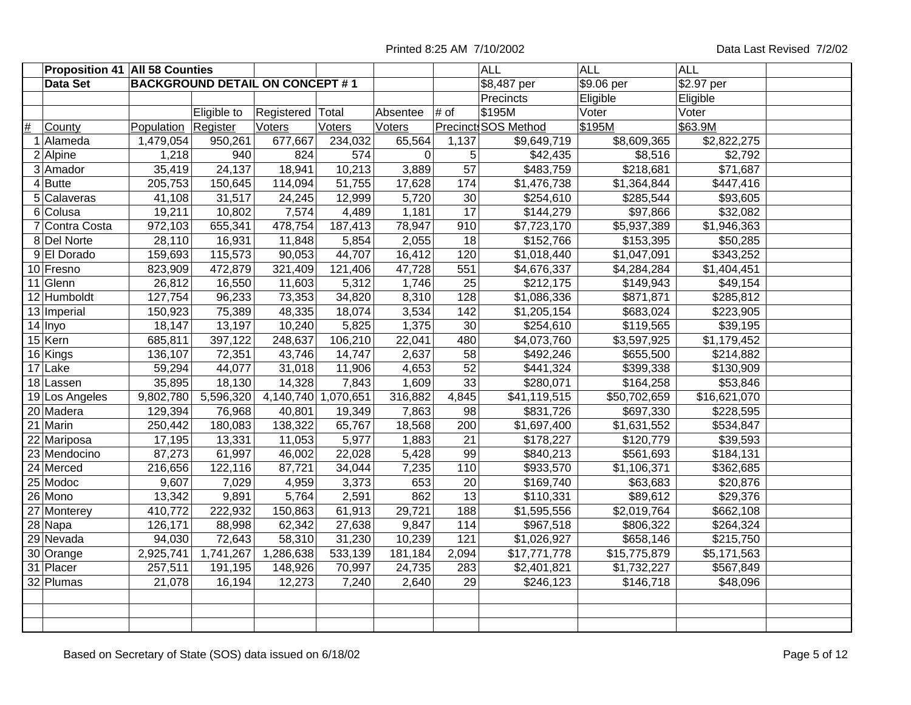|                 | <b>Proposition 41 All 58 Counties</b> |            |                                        |                     |         |          |                  | <b>ALL</b>              | <b>ALL</b>              | <b>ALL</b>         |  |
|-----------------|---------------------------------------|------------|----------------------------------------|---------------------|---------|----------|------------------|-------------------------|-------------------------|--------------------|--|
|                 | <b>Data Set</b>                       |            | <b>BACKGROUND DETAIL ON CONCEPT #1</b> |                     |         |          |                  | \$8,487 per             | \$9.06 per              | $\sqrt{$2.97}$ per |  |
|                 |                                       |            |                                        |                     |         |          |                  | Precincts               | Eligible                | Eligible           |  |
|                 |                                       |            | Eligible to                            | Registered Total    |         | Absentee | # of             | \$195M                  | Voter                   | Voter              |  |
| $\overline{\#}$ | County                                | Population | Register                               | Voters              | Voters  | Voters   |                  | Precinct: SOS Method    | \$195M                  | \$63.9M            |  |
| 1               | Alameda                               | 1,479,054  | 950,261                                | 677,667             | 234,032 | 65,564   | 1,137            | \$9,649,719             | $\overline{$8,609,365}$ | \$2,822,275        |  |
|                 | 2 Alpine                              | 1,218      | 940                                    | 824                 | 574     | 0        | 5                | \$42,435                | \$8,516                 | \$2,792            |  |
|                 | 3 Amador                              | 35,419     | 24,137                                 | 18,941              | 10,213  | 3,889    | $\overline{57}$  | \$483,759               | \$218,681               | \$71,687           |  |
|                 | 4 Butte                               | 205,753    | 150,645                                | 114,094             | 51,755  | 17,628   | 174              | \$1,476,738             | \$1,364,844             | \$447,416          |  |
|                 | 5 Calaveras                           | 41,108     | 31,517                                 | 24,245              | 12,999  | 5,720    | 30               | $\overline{$}254,610$   | \$285,544               | \$93,605           |  |
|                 | 6 Colusa                              | 19,211     | 10,802                                 | 7,574               | 4,489   | 1,181    | $\overline{17}$  | \$144,279               | \$97,866                | \$32,082           |  |
|                 | 7 Contra Costa                        | 972,103    | 655,341                                | 478,754             | 187,413 | 78,947   | 910              | \$7,723,170             | \$5,937,389             | \$1,946,363        |  |
|                 | 8 Del Norte                           | 28,110     | 16,931                                 | 11,848              | 5,854   | 2,055    | 18               | \$152,766               | \$153,395               | \$50,285           |  |
|                 | 9 El Dorado                           | 159,693    | 115,573                                | 90,053              | 44,707  | 16,412   | 120              | $\overline{31,018,440}$ | \$1,047,091             | \$343,252          |  |
|                 | 10 Fresno                             | 823,909    | 472,879                                | 321,409             | 121,406 | 47,728   | 551              | \$4,676,337             | \$4,284,284             | \$1,404,451        |  |
|                 | 11 Glenn                              | 26,812     | 16,550                                 | 11,603              | 5,312   | 1,746    | $\overline{25}$  | \$212,175               | \$149,943               | \$49,154           |  |
|                 | 12 Humboldt                           | 127,754    | 96,233                                 | 73,353              | 34,820  | 8,310    | 128              | \$1,086,336             | \$871,871               | \$285,812          |  |
|                 | 13 Imperial                           | 150,923    | 75,389                                 | 48,335              | 18,074  | 3,534    | $\overline{142}$ | \$1,205,154             | \$683,024               | \$223,905          |  |
|                 | $\overline{14}$ Inyo                  | 18,147     | 13,197                                 | 10,240              | 5,825   | 1,375    | 30               | \$254,610               | \$119,565               | \$39,195           |  |
|                 | 15 Kern                               | 685,811    | 397,122                                | 248,637             | 106,210 | 22,041   | 480              | \$4,073,760             | \$3,597,925             | \$1,179,452        |  |
|                 | 16 Kings                              | 136,107    | 72,351                                 | 43,746              | 14,747  | 2,637    | 58               | \$492,246               | \$655,500               | \$214,882          |  |
|                 | 17 Lake                               | 59,294     | 44,077                                 | 31,018              | 11,906  | 4,653    | $\overline{52}$  | \$441,324               | \$399,338               | \$130,909          |  |
|                 | 18 Lassen                             | 35,895     | 18,130                                 | 14,328              | 7,843   | 1,609    | 33               | \$280,071               | \$164,258               | \$53,846           |  |
|                 | 19 Los Angeles                        | 9,802,780  | 5,596,320                              | 4,140,740 1,070,651 |         | 316,882  | 4,845            | \$41,119,515            | \$50,702,659            | \$16,621,070       |  |
|                 | 20 Madera                             | 129,394    | 76,968                                 | 40,801              | 19,349  | 7,863    | 98               | \$831,726               | $\overline{$}697,330$   | \$228,595          |  |
|                 | 21 Marin                              | 250,442    | 180,083                                | 138,322             | 65,767  | 18,568   | 200              | \$1,697,400             | \$1,631,552             | \$534,847          |  |
|                 | 22 Mariposa                           | 17,195     | 13,331                                 | 11,053              | 5,977   | 1,883    | 21               | $\overline{$}178,227$   | \$120,779               | \$39,593           |  |
|                 | 23 Mendocino                          | 87,273     | 61,997                                 | 46,002              | 22,028  | 5,428    | 99               | \$840,213               | \$561,693               | \$184,131          |  |
|                 | 24 Merced                             | 216,656    | 122,116                                | 87,721              | 34,044  | 7,235    | 110              | \$933,570               | \$1,106,371             | \$362,685          |  |
|                 | 25 Modoc                              | 9,607      | 7,029                                  | 4,959               | 3,373   | 653      | 20               | $\sqrt{$169,740}$       | \$63,683                | \$20,876           |  |
|                 | 26 Mono                               | 13,342     | 9,891                                  | 5,764               | 2,591   | 862      | 13               | $\overline{$}110,331$   | \$89,612                | \$29,376           |  |
|                 | 27 Monterey                           | 410,772    | 222,932                                | 150,863             | 61,913  | 29,721   | 188              | \$1,595,556             | \$2,019,764             | \$662,108          |  |
|                 | 28 Napa                               | 126,171    | 88,998                                 | 62,342              | 27,638  | 9,847    | 114              | \$967,518               | \$806,322               | \$264,324          |  |
|                 | 29 Nevada                             | 94,030     | 72,643                                 | 58,310              | 31,230  | 10,239   | 121              | \$1,026,927             | \$658,146               | \$215,750          |  |
|                 | 30 Orange                             | 2,925,741  | 1,741,267                              | 1,286,638           | 533,139 | 181,184  | 2,094            | \$17,771,778            | \$15,775,879            | \$5,171,563        |  |
|                 | 31 Placer                             | 257,511    | 191,195                                | 148,926             | 70,997  | 24,735   | $\overline{2}83$ | \$2,401,821             | \$1,732,227             | \$567,849          |  |
|                 | 32 Plumas                             | 21,078     | 16,194                                 | 12,273              | 7,240   | 2,640    | 29               | \$246,123               | \$146,718               | \$48,096           |  |
|                 |                                       |            |                                        |                     |         |          |                  |                         |                         |                    |  |
|                 |                                       |            |                                        |                     |         |          |                  |                         |                         |                    |  |
|                 |                                       |            |                                        |                     |         |          |                  |                         |                         |                    |  |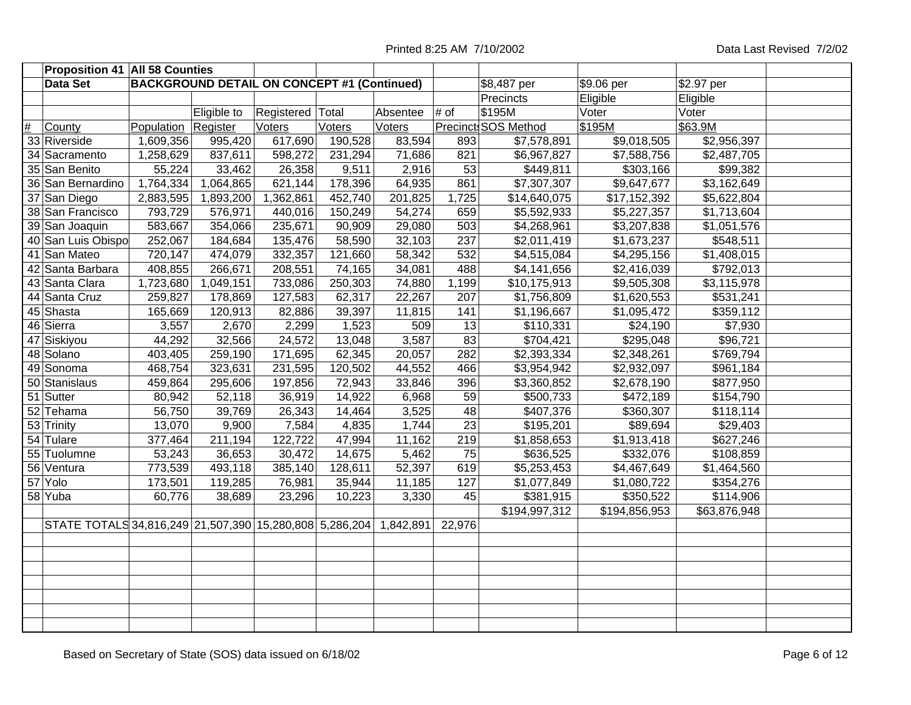|      | <b>Proposition 41 All 58 Counties</b>                             |            |             |                                                    |         |          |                  |                         |                         |              |  |
|------|-------------------------------------------------------------------|------------|-------------|----------------------------------------------------|---------|----------|------------------|-------------------------|-------------------------|--------------|--|
|      | <b>Data Set</b>                                                   |            |             | <b>BACKGROUND DETAIL ON CONCEPT #1 (Continued)</b> |         |          |                  | \$8,487 per             | \$9.06 per              | \$2.97 per   |  |
|      |                                                                   |            |             |                                                    |         |          |                  | Precincts               | Eligible                | Eligible     |  |
|      |                                                                   |            | Eligible to | Registered Total                                   |         | Absentee | # of             | \$195M                  | Voter                   | Voter        |  |
| $\#$ | County                                                            | Population | Register    | Voters                                             | Voters  | Voters   |                  | Precinct: SOS Method    | \$195M                  | \$63.9M      |  |
|      | 33 Riverside                                                      | 1,609,356  | 995,420     | 617,690                                            | 190,528 | 83,594   | 893              | \$7,578,891             | \$9,018,505             | \$2,956,397  |  |
|      | 34 Sacramento                                                     | 1,258,629  | 837,611     | 598,272                                            | 231,294 | 71,686   | 821              | \$6,967,827             | \$7,588,756             | \$2,487,705  |  |
|      | 35 San Benito                                                     | 55,224     | 33,462      | 26,358                                             | 9,511   | 2,916    | 53               | \$449,811               | \$303,166               | \$99,382     |  |
|      | 36 San Bernardino                                                 | 1,764,334  | 1,064,865   | 621,144                                            | 178,396 | 64,935   | 861              | \$7,307,307             | \$9,647,677             | \$3,162,649  |  |
|      | 37 San Diego                                                      | 2,883,595  | 1,893,200   | 1,362,861                                          | 452,740 | 201,825  | 1,725            | \$14,640,075            | \$17,152,392            | \$5,622,804  |  |
|      | 38 San Francisco                                                  | 793,729    | 576,971     | 440,016                                            | 150,249 | 54,274   | 659              | \$5,592,933             | \$5,227,357             | \$1,713,604  |  |
|      | 39 San Joaquin                                                    | 583,667    | 354,066     | 235,671                                            | 90,909  | 29,080   | 503              | \$4,268,961             | \$3,207,838             | \$1,051,576  |  |
|      | 40 San Luis Obispo                                                | 252,067    | 184,684     | 135,476                                            | 58,590  | 32,103   | $\overline{237}$ | $\overline{2,011,419}$  | \$1,673,237             | \$548,511    |  |
|      | 41 San Mateo                                                      | 720,147    | 474,079     | 332,357                                            | 121,660 | 58,342   | 532              | \$4,515,084             | \$4,295,156             | \$1,408,015  |  |
|      | 42 Santa Barbara                                                  | 408,855    | 266,671     | 208,551                                            | 74,165  | 34,081   | 488              | \$4,141,656             | \$2,416,039             | \$792,013    |  |
|      | 43 Santa Clara                                                    | 1,723,680  | 1,049,151   | 733,086                                            | 250,303 | 74,880   | 1,199            | \$10,175,913            | \$9,505,308             | \$3,115,978  |  |
|      | 44 Santa Cruz                                                     | 259,827    | 178,869     | 127,583                                            | 62,317  | 22,267   | 207              | \$1,756,809             | \$1,620,553             | \$531,241    |  |
|      | 45 Shasta                                                         | 165,669    | 120,913     | 82,886                                             | 39,397  | 11,815   | 141              | \$1,196,667             | \$1,095,472             | \$359,112    |  |
|      | 46 Sierra                                                         | 3,557      | 2,670       | 2,299                                              | 1,523   | 509      | 13               | $\overline{$110,331}$   | \$24,190                | \$7,930      |  |
|      | 47 Siskiyou                                                       | 44,292     | 32,566      | 24,572                                             | 13,048  | 3,587    | 83               | \$704,421               | \$295,048               | \$96,721     |  |
|      | 48 Solano                                                         | 403,405    | 259,190     | 171,695                                            | 62,345  | 20,057   | 282              | \$2,393,334             | \$2,348,261             | \$769,794    |  |
|      | 49 Sonoma                                                         | 468,754    | 323,631     | 231,595                                            | 120,502 | 44,552   | 466              | \$3,954,942             | \$2,932,097             | \$961,184    |  |
|      | 50 Stanislaus                                                     | 459,864    | 295,606     | 197,856                                            | 72,943  | 33,846   | 396              | $\overline{$3,360,852}$ | \$2,678,190             | \$877,950    |  |
|      | 51 Sutter                                                         | 80,942     | 52,118      | 36,919                                             | 14,922  | 6,968    | 59               | \$500,733               | \$472,189               | \$154,790    |  |
|      | 52 Tehama                                                         | 56,750     | 39,769      | 26,343                                             | 14,464  | 3,525    | $\overline{48}$  | \$407,376               | \$360,307               | \$118,114    |  |
|      | 53 Trinity                                                        | 13,070     | 9,900       | 7,584                                              | 4,835   | 1,744    | $\overline{23}$  | \$195,201               | \$89,694                | \$29,403     |  |
|      | 54 Tulare                                                         | 377,464    | 211,194     | 122,722                                            | 47,994  | 11,162   | 219              | \$1,858,653             | \$1,913,418             | \$627,246    |  |
|      | 55 Tuolumne                                                       | 53,243     | 36,653      | 30,472                                             | 14,675  | 5,462    | 75               | \$636,525               | \$332,076               | \$108,859    |  |
|      | 56 Ventura                                                        | 773,539    | 493,118     | 385,140                                            | 128,611 | 52,397   | 619              | \$5,253,453             | $\overline{$4,467,649}$ | \$1,464,560  |  |
|      | 57 Yolo                                                           | 173,501    | 119,285     | 76,981                                             | 35,944  | 11,185   | 127              | \$1,077,849             | \$1,080,722             | \$354,276    |  |
|      | 58 Yuba                                                           | 60,776     | 38,689      | 23,296                                             | 10,223  | 3,330    | 45               | \$381,915               | \$350,522               | \$114,906    |  |
|      |                                                                   |            |             |                                                    |         |          |                  | \$194,997,312           | \$194,856,953           | \$63,876,948 |  |
|      | STATE TOTALS 34,816,249 21,507,390 15,280,808 5,286,204 1,842,891 |            |             |                                                    |         |          | 22,976           |                         |                         |              |  |
|      |                                                                   |            |             |                                                    |         |          |                  |                         |                         |              |  |
|      |                                                                   |            |             |                                                    |         |          |                  |                         |                         |              |  |
|      |                                                                   |            |             |                                                    |         |          |                  |                         |                         |              |  |
|      |                                                                   |            |             |                                                    |         |          |                  |                         |                         |              |  |
|      |                                                                   |            |             |                                                    |         |          |                  |                         |                         |              |  |
|      |                                                                   |            |             |                                                    |         |          |                  |                         |                         |              |  |
|      |                                                                   |            |             |                                                    |         |          |                  |                         |                         |              |  |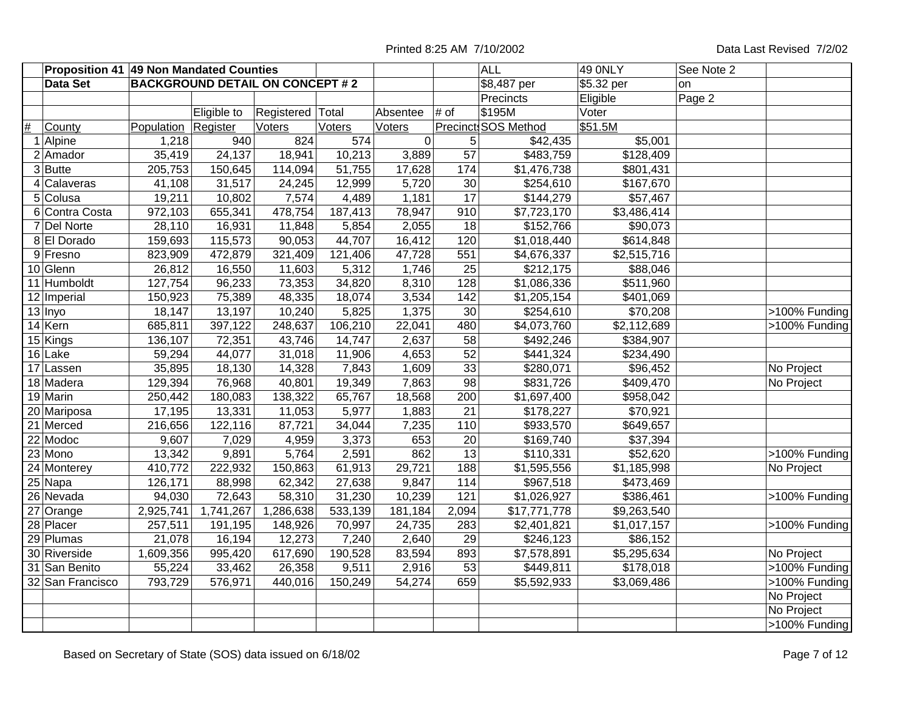|      | Proposition 41 49 Non Mandated Counties |            |                                        |                  |         |             |                 | <b>ALL</b>              | 49 0NLY     | See Note 2          |               |
|------|-----------------------------------------|------------|----------------------------------------|------------------|---------|-------------|-----------------|-------------------------|-------------|---------------------|---------------|
|      | <b>Data Set</b>                         |            | <b>BACKGROUND DETAIL ON CONCEPT #2</b> |                  |         |             |                 | \$8,487 per             | \$5.32 per  | on                  |               |
|      |                                         |            |                                        |                  |         |             |                 | Precincts               | Eligible    | Page $\overline{2}$ |               |
|      |                                         |            | Eligible to                            | Registered Total |         | Absentee    | $#$ of          | \$195M                  | Voter       |                     |               |
| $\#$ | County                                  | Population | Register                               | Voters           | Voters  | Voters      |                 | Precinct: SOS Method    | \$51.5M     |                     |               |
|      | 1 Alpine                                | 1,218      | 940                                    | 824              | 574     | $\mathbf 0$ | 5               | \$42,435                | \$5,001     |                     |               |
|      | $2$ Amador                              | 35,419     | 24,137                                 | 18,941           | 10,213  | 3,889       | 57              | \$483,759               | \$128,409   |                     |               |
|      | 3Butte                                  | 205,753    | 150,645                                | 114,094          | 51,755  | 17,628      | 174             | \$1,476,738             | \$801,431   |                     |               |
|      | 4 Calaveras                             | 41,108     | 31,517                                 | 24,245           | 12,999  | 5,720       | 30              | \$254,610               | \$167,670   |                     |               |
|      | 5 Colusa                                | 19,211     | 10,802                                 | 7,574            | 4,489   | 1,181       | 17              | \$144,279               | \$57,467    |                     |               |
|      | 6 Contra Costa                          | 972,103    | 655,341                                | 478,754          | 187,413 | 78,947      | 910             | \$7,723,170             | \$3,486,414 |                     |               |
|      | 7 Del Norte                             | 28,110     | 16,931                                 | 11,848           | 5,854   | 2,055       | $\overline{18}$ | \$152,766               | \$90,073    |                     |               |
|      | 8 El Dorado                             | 159,693    | 115,573                                | 90,053           | 44,707  | 16,412      | 120             | \$1,018,440             | \$614,848   |                     |               |
|      | 9 Fresno                                | 823,909    | 472,879                                | 321,409          | 121,406 | 47,728      | 551             | \$4,676,337             | \$2,515,716 |                     |               |
|      | 10 Glenn                                | 26,812     | 16,550                                 | 11,603           | 5,312   | 1,746       | $\overline{25}$ | \$212,175               | \$88,046    |                     |               |
|      | 11 Humboldt                             | 127,754    | 96,233                                 | 73,353           | 34,820  | 8,310       | 128             | \$1,086,336             | \$511,960   |                     |               |
|      | 12 Imperial                             | 150,923    | 75,389                                 | 48,335           | 18,074  | 3,534       | 142             | \$1,205,154             | \$401,069   |                     |               |
|      | 13 Inyo                                 | 18,147     | 13,197                                 | 10,240           | 5,825   | 1,375       | 30              | $\sqrt{$254,610}$       | \$70,208    |                     | >100% Funding |
|      | 14 Kern                                 | 685,811    | 397,122                                | 248,637          | 106,210 | 22,041      | 480             | \$4,073,760             | \$2,112,689 |                     | >100% Funding |
|      | 15 Kings                                | 136,107    | 72,351                                 | 43,746           | 14,747  | 2,637       | 58              | \$492,246               | \$384,907   |                     |               |
|      | 16 Lake                                 | 59,294     | 44,077                                 | 31,018           | 11,906  | 4,653       | 52              | \$441,324               | \$234,490   |                     |               |
|      | 17 Lassen                               | 35,895     | 18,130                                 | 14,328           | 7,843   | 1,609       | 33              | \$280,071               | \$96,452    |                     | No Project    |
|      | 18 Madera                               | 129,394    | 76,968                                 | 40,801           | 19,349  | 7,863       | $\overline{98}$ | \$831,726               | \$409,470   |                     | No Project    |
|      | 19 Marin                                | 250,442    | 180,083                                | 138,322          | 65,767  | 18,568      | 200             | \$1,697,400             | \$958,042   |                     |               |
|      | 20 Mariposa                             | 17,195     | 13,331                                 | 11,053           | 5,977   | 1,883       | 21              | \$178,227               | \$70,921    |                     |               |
|      | 21 Merced                               | 216,656    | 122,116                                | 87,721           | 34,044  | 7,235       | 110             | \$933,570               | \$649,657   |                     |               |
|      | 22 Modoc                                | 9,607      | 7,029                                  | 4,959            | 3,373   | 653         | 20              | \$169,740               | \$37,394    |                     |               |
|      | 23 Mono                                 | 13,342     | 9,891                                  | 5,764            | 2,591   | 862         | 13              | \$110,331               | \$52,620    |                     | >100% Funding |
|      | $\overline{24}$ Monterey                | 410,772    | 222,932                                | 150,863          | 61,913  | 29,721      | 188             | \$1,595,556             | \$1,185,998 |                     | No Project    |
|      | 25 Napa                                 | 126,171    | 88,998                                 | 62,342           | 27,638  | 9,847       | 114             | \$967,518               | \$473,469   |                     |               |
|      | 26 Nevada                               | 94,030     | 72,643                                 | 58,310           | 31,230  | 10,239      | 121             | \$1,026,927             | \$386,461   |                     | >100% Funding |
|      | $\overline{27}$ Orange                  | 2,925,741  | 1,741,267                              | 1,286,638        | 533,139 | 181,184     | 2,094           | \$17,771,778            | \$9,263,540 |                     |               |
|      | 28 Placer                               | 257,511    | 191,195                                | 148,926          | 70,997  | 24,735      | 283             | \$2,401,821             | \$1,017,157 |                     | >100% Funding |
|      | 29 Plumas                               | 21,078     | 16,194                                 | 12,273           | 7,240   | 2,640       | 29              | \$246,123               | \$86,152    |                     |               |
|      | 30 Riverside                            | 1,609,356  | 995,420                                | 617,690          | 190,528 | 83,594      | 893             | \$7,578,891             | \$5,295,634 |                     | No Project    |
|      | 31 San Benito                           | 55,224     | 33,462                                 | 26,358           | 9,511   | 2,916       | 53              | \$449,811               | \$178,018   |                     | >100% Funding |
|      | 32 San Francisco                        | 793,729    | 576,971                                | 440,016          | 150,249 | 54,274      | 659             | $\overline{$}5,592,933$ | \$3,069,486 |                     | >100% Funding |
|      |                                         |            |                                        |                  |         |             |                 |                         |             |                     | No Project    |
|      |                                         |            |                                        |                  |         |             |                 |                         |             |                     | No Project    |
|      |                                         |            |                                        |                  |         |             |                 |                         |             |                     | >100% Funding |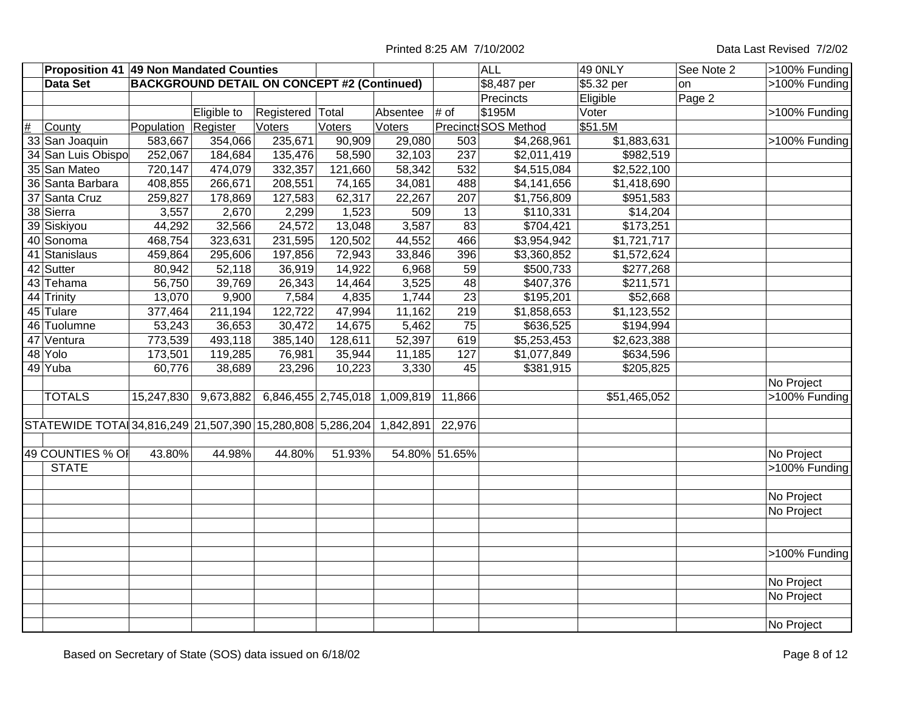|                | Proposition 41 49 Non Mandated Counties<br><b>BACKGROUND DETAIL ON CONCEPT #2 (Continued)</b> |            |             |                  |                     |           | <b>ALL</b>      | <b>49 ONLY</b>       | See Note 2   | >100% Funding |               |
|----------------|-----------------------------------------------------------------------------------------------|------------|-------------|------------------|---------------------|-----------|-----------------|----------------------|--------------|---------------|---------------|
|                | <b>Data Set</b>                                                                               |            |             |                  |                     |           |                 | \$8,487 per          | \$5.32 per   | on            | >100% Funding |
|                |                                                                                               |            |             |                  |                     |           |                 | Precincts            | Eligible     | Page 2        |               |
|                |                                                                                               |            | Eligible to | Registered Total |                     | Absentee  | # of            | \$195M               | Voter        |               | >100% Funding |
| $\frac{\#}{4}$ | County                                                                                        | Population | Register    | Voters           | Voters              | Voters    |                 | Precinct: SOS Method | \$51.5M      |               |               |
|                | 33 San Joaquin                                                                                | 583,667    | 354,066     | 235,671          | 90,909              | 29,080    | 503             | \$4,268,961          | \$1,883,631  |               | >100% Funding |
|                | 34 San Luis Obispo                                                                            | 252,067    | 184,684     | 135,476          | 58,590              | 32,103    | 237             | \$2,011,419          | \$982,519    |               |               |
|                | 35 San Mateo                                                                                  | 720,147    | 474,079     | 332,357          | 121,660             | 58,342    | 532             | \$4,515,084          | \$2,522,100  |               |               |
|                | 36 Santa Barbara                                                                              | 408,855    | 266,671     | 208,551          | 74,165              | 34,081    | 488             | \$4,141,656          | \$1,418,690  |               |               |
|                | 37 Santa Cruz                                                                                 | 259,827    | 178,869     | 127,583          | 62,317              | 22,267    | 207             | \$1,756,809          | \$951,583    |               |               |
|                | 38 Sierra                                                                                     | 3,557      | 2,670       | 2,299            | 1,523               | 509       | 13              | \$110,331            | \$14,204     |               |               |
|                | 39 Siskiyou                                                                                   | 44,292     | 32,566      | 24,572           | 13,048              | 3,587     | $\overline{83}$ | \$704,421            | \$173,251    |               |               |
|                | 40 Sonoma                                                                                     | 468,754    | 323,631     | 231,595          | 120,502             | 44,552    | 466             | \$3,954,942          | \$1,721,717  |               |               |
|                | 41 Stanislaus                                                                                 | 459,864    | 295,606     | 197,856          | 72,943              | 33,846    | 396             | \$3,360,852          | \$1,572,624  |               |               |
|                | 42 Sutter                                                                                     | 80,942     | 52,118      | 36,919           | 14,922              | 6,968     | 59              | \$500,733            | \$277,268    |               |               |
|                | 43 Tehama                                                                                     | 56,750     | 39,769      | 26,343           | 14,464              | 3,525     | 48              | \$407,376            | \$211,571    |               |               |
|                | 44 Trinity                                                                                    | 13,070     | 9,900       | 7,584            | 4,835               | 1,744     | $\overline{23}$ | \$195,201            | \$52,668     |               |               |
|                | 45 Tulare                                                                                     | 377,464    | 211,194     | 122,722          | 47,994              | 11,162    | 219             | \$1,858,653          | \$1,123,552  |               |               |
|                | 46 Tuolumne                                                                                   | 53,243     | 36,653      | 30,472           | 14,675              | 5,462     | 75              | \$636,525            | \$194,994    |               |               |
|                | 47 Ventura                                                                                    | 773,539    | 493,118     | 385,140          | 128,611             | 52,397    | 619             | \$5,253,453          | \$2,623,388  |               |               |
|                | 48 Yolo                                                                                       | 173,501    | 119,285     | 76,981           | 35,944              | 11,185    | 127             | \$1,077,849          | \$634,596    |               |               |
|                | 49 Yuba                                                                                       | 60,776     | 38,689      | 23,296           | 10,223              | 3,330     | 45              | \$381,915            | \$205,825    |               |               |
|                |                                                                                               |            |             |                  |                     |           |                 |                      |              |               | No Project    |
|                | <b>TOTALS</b>                                                                                 | 15,247,830 | 9,673,882   |                  | 6,846,455 2,745,018 | 1,009,819 | 11,866          |                      | \$51,465,052 |               | >100% Funding |
|                |                                                                                               |            |             |                  |                     |           |                 |                      |              |               |               |
|                | STATEWIDE TOTA 34,816,249 21,507,390 15,280,808 5,286,204                                     |            |             |                  |                     | 1,842,891 | 22,976          |                      |              |               |               |
|                |                                                                                               |            |             |                  |                     |           |                 |                      |              |               |               |
|                | 49 COUNTIES % OF                                                                              | 43.80%     | 44.98%      | 44.80%           | 51.93%              |           | 54.80% 51.65%   |                      |              |               | No Project    |
|                | <b>STATE</b>                                                                                  |            |             |                  |                     |           |                 |                      |              |               | >100% Funding |
|                |                                                                                               |            |             |                  |                     |           |                 |                      |              |               |               |
|                |                                                                                               |            |             |                  |                     |           |                 |                      |              |               | No Project    |
|                |                                                                                               |            |             |                  |                     |           |                 |                      |              |               | No Project    |
|                |                                                                                               |            |             |                  |                     |           |                 |                      |              |               |               |
|                |                                                                                               |            |             |                  |                     |           |                 |                      |              |               |               |
|                |                                                                                               |            |             |                  |                     |           |                 |                      |              |               | >100% Funding |
|                |                                                                                               |            |             |                  |                     |           |                 |                      |              |               |               |
|                |                                                                                               |            |             |                  |                     |           |                 |                      |              |               | No Project    |
|                |                                                                                               |            |             |                  |                     |           |                 |                      |              |               | No Project    |
|                |                                                                                               |            |             |                  |                     |           |                 |                      |              |               |               |
|                |                                                                                               |            |             |                  |                     |           |                 |                      |              |               | No Project    |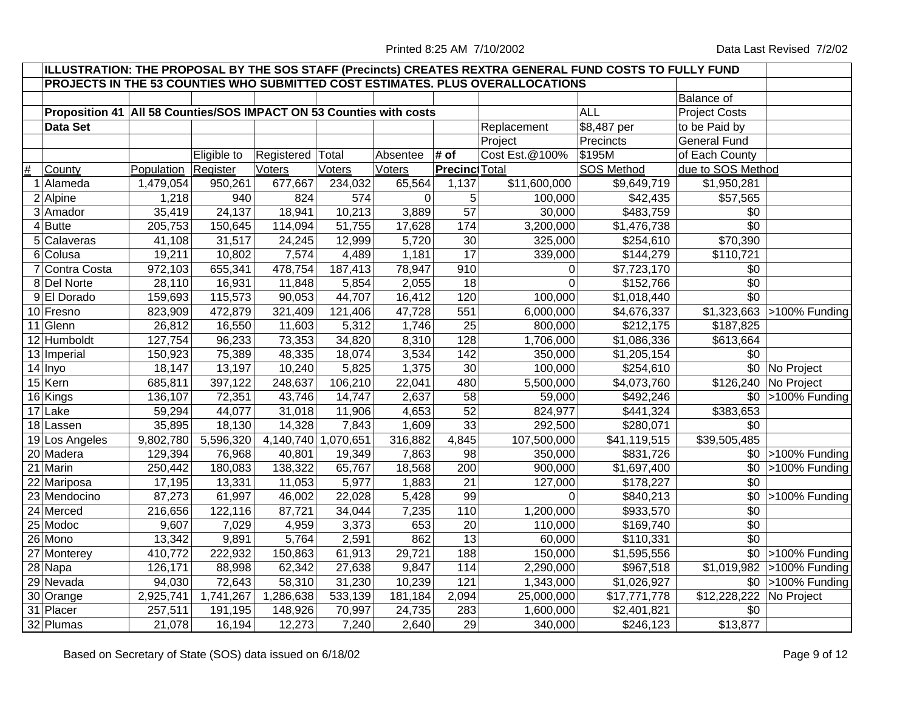| ILLUSTRATION: THE PROPOSAL BY THE SOS STAFF (Precincts) CREATES REXTRA GENERAL FUND COSTS TO FULLY FUND |  |                                                                       |                 |                     |         |               |                      |                |                   |                         |                            |  |
|---------------------------------------------------------------------------------------------------------|--|-----------------------------------------------------------------------|-----------------|---------------------|---------|---------------|----------------------|----------------|-------------------|-------------------------|----------------------------|--|
| PROJECTS IN THE 53 COUNTIES WHO SUBMITTED COST ESTIMATES. PLUS OVERALLOCATIONS                          |  |                                                                       |                 |                     |         |               |                      |                |                   |                         |                            |  |
|                                                                                                         |  |                                                                       |                 |                     |         |               |                      |                |                   | Balance of              |                            |  |
|                                                                                                         |  | Proposition 41   All 58 Counties/SOS IMPACT ON 53 Counties with costs |                 |                     |         |               |                      |                | <b>ALL</b>        | <b>Project Costs</b>    |                            |  |
| <b>Data Set</b>                                                                                         |  |                                                                       |                 |                     |         |               |                      | Replacement    | \$8,487 per       | to be Paid by           |                            |  |
|                                                                                                         |  |                                                                       |                 |                     |         |               |                      | Project        | Precincts         | <b>General Fund</b>     |                            |  |
|                                                                                                         |  |                                                                       | Eligible to     | Registered Total    |         | Absentee      | # of                 | Cost Est.@100% | \$195M            | of Each County          |                            |  |
| #<br>County                                                                                             |  | Population                                                            | <b>Register</b> | <b>Voters</b>       | Voters  | <b>Voters</b> | <b>Precinc</b> Total |                | <b>SOS Method</b> | due to SOS Method       |                            |  |
| 1 Alameda                                                                                               |  | 1,479,054                                                             | 950,261         | 677,667             | 234,032 | 65,564        | 1,137                | \$11,600,000   | \$9,649,719       | \$1,950,281             |                            |  |
| $2$ Alpine                                                                                              |  | 1,218                                                                 | 940             | 824                 | 574     | $\Omega$      | 5                    | 100,000        | \$42,435          | \$57,565                |                            |  |
| 3 Amador                                                                                                |  | 35,419                                                                | 24,137          | 18,941              | 10,213  | 3,889         | $\overline{57}$      | 30,000         | \$483,759         | $\sqrt{50}$             |                            |  |
| 4 Butte                                                                                                 |  | 205,753                                                               | 150,645         | 114,094             | 51,755  | 17,628        | $\frac{1}{174}$      | 3,200,000      | \$1,476,738       | \$0                     |                            |  |
| 5 Calaveras                                                                                             |  | 41,108                                                                | 31,517          | 24,245              | 12,999  | 5,720         | 30 <sup>°</sup>      | 325,000        | \$254,610         | \$70,390                |                            |  |
| 6 Colusa                                                                                                |  | 19,211                                                                | 10,802          | 7,574               | 4,489   | 1,181         | 17                   | 339,000        | \$144,279         | \$110,721               |                            |  |
| 7 Contra Costa                                                                                          |  | 972,103                                                               | 655,341         | 478,754             | 187,413 | 78,947        | 910                  | $\mathbf 0$    | \$7,723,170       | \$0                     |                            |  |
| 8 Del Norte                                                                                             |  | 28,110                                                                | 16,931          | 11,848              | 5,854   | 2,055         | $\overline{18}$      | $\mathbf 0$    | \$152,766         | $\overline{50}$         |                            |  |
| 9 El Dorado                                                                                             |  | 159,693                                                               | 115,573         | 90,053              | 44,707  | 16,412        | 120                  | 100,000        | \$1,018,440       | $\sqrt{6}$              |                            |  |
| 10 Fresno                                                                                               |  | 823,909                                                               | 472,879         | 321,409             | 121,406 | 47,728        | 551                  | 6,000,000      | \$4,676,337       |                         | $$1,323,663$ >100% Funding |  |
| 11 Glenn                                                                                                |  | 26,812                                                                | 16,550          | 11,603              | 5,312   | 1,746         | 25                   | 800,000        | \$212,175         | \$187,825               |                            |  |
| 12 Humboldt                                                                                             |  | 127,754                                                               | 96,233          | 73,353              | 34,820  | 8,310         | 128                  | 1,706,000      | \$1,086,336       | \$613,664               |                            |  |
| 13 Imperial                                                                                             |  | 150,923                                                               | 75,389          | 48,335              | 18,074  | 3,534         | 142                  | 350,000        | \$1,205,154       | \$0                     |                            |  |
| 14 Inyo                                                                                                 |  | 18,147                                                                | 13,197          | 10,240              | 5,825   | 1,375         | 30                   | 100,000        | \$254,610         |                         | \$0 No Project             |  |
| 15 Kern                                                                                                 |  | 685,811                                                               | 397,122         | 248,637             | 106,210 | 22,041        | 480                  | 5,500,000      | \$4,073,760       |                         | \$126,240 No Project       |  |
| 16 Kings                                                                                                |  | 136,107                                                               | 72,351          | 43,746              | 14,747  | 2,637         | 58                   | 59,000         | \$492,246         |                         | \$0 >100% Funding          |  |
| 17 Lake                                                                                                 |  | 59,294                                                                | 44,077          | 31,018              | 11,906  | 4,653         | 52                   | 824,977        | \$441,324         | $\overline{$}383,653$   |                            |  |
| 18 Lassen                                                                                               |  | 35,895                                                                | 18,130          | 14,328              | 7,843   | 1,609         | 33                   | 292,500        | \$280,071         | \$0                     |                            |  |
| 19 Los Angeles                                                                                          |  | 9,802,780                                                             | 5,596,320       | 4,140,740 1,070,651 |         | 316,882       | 4,845                | 107,500,000    | \$41,119,515      | \$39,505,485            |                            |  |
| 20 Madera                                                                                               |  | 129,394                                                               | 76,968          | 40,801              | 19,349  | 7,863         | 98                   | 350,000        | \$831,726         |                         | \$0 >100% Funding          |  |
| 21 Marin                                                                                                |  | 250,442                                                               | 180,083         | 138,322             | 65,767  | 18,568        | 200                  | 900,000        | \$1,697,400       |                         | \$0 >100% Funding          |  |
| 22 Mariposa                                                                                             |  | 17,195                                                                | 13,331          | 11,053              | 5,977   | 1,883         | 21                   | 127,000        | \$178,227         | \$0                     |                            |  |
| 23 Mendocino                                                                                            |  | 87,273                                                                | 61,997          | 46,002              | 22,028  | 5,428         | 99                   | $\Omega$       | \$840,213         |                         | \$0 >100% Funding          |  |
| 24 Merced                                                                                               |  | 216,656                                                               | 122,116         | 87,721              | 34,044  | 7,235         | 110                  | 1,200,000      | \$933,570         | \$0                     |                            |  |
| 25 Modoc                                                                                                |  | 9,607                                                                 | 7,029           | 4,959               | 3,373   | 653           | 20                   | 110,000        | \$169,740         | \$0                     |                            |  |
| 26 Mono                                                                                                 |  | 13,342                                                                | 9,891           | 5,764               | 2,591   | 862           | 13                   | 60,000         | \$110,331         | $\overline{50}$         |                            |  |
| 27 Monterey                                                                                             |  | 410,772                                                               | 222,932         | 150,863             | 61,913  | 29,721        | 188                  | 150,000        | \$1,595,556       |                         | \$0 >100% Funding          |  |
| $\overline{28}$ Napa                                                                                    |  | 126,171                                                               | 88,998          | 62,342              | 27,638  | 9,847         | $\frac{114}{114}$    | 2,290,000      | \$967,518         |                         | \$1,019,982 >100% Funding  |  |
| 29 Nevada                                                                                               |  | 94,030                                                                | 72,643          | 58,310              | 31,230  | 10,239        | 121                  | 1,343,000      | \$1,026,927       |                         | \$0 >100% Funding          |  |
| 30 Orange                                                                                               |  | 2,925,741                                                             | 1,741,267       | 1,286,638           | 533,139 | 181,184       | 2,094                | 25,000,000     | \$17,771,778      | \$12,228,222 No Project |                            |  |
| 31 Placer                                                                                               |  | 257,511                                                               | 191,195         | 148,926             | 70,997  | 24,735        | 283                  | 1,600,000      | \$2,401,821       | \$0                     |                            |  |
| $\overline{32}$ Plumas                                                                                  |  | 21,078                                                                | 16,194          | 12,273              | 7,240   | 2,640         | 29                   | 340,000        | \$246,123         | \$13,877                |                            |  |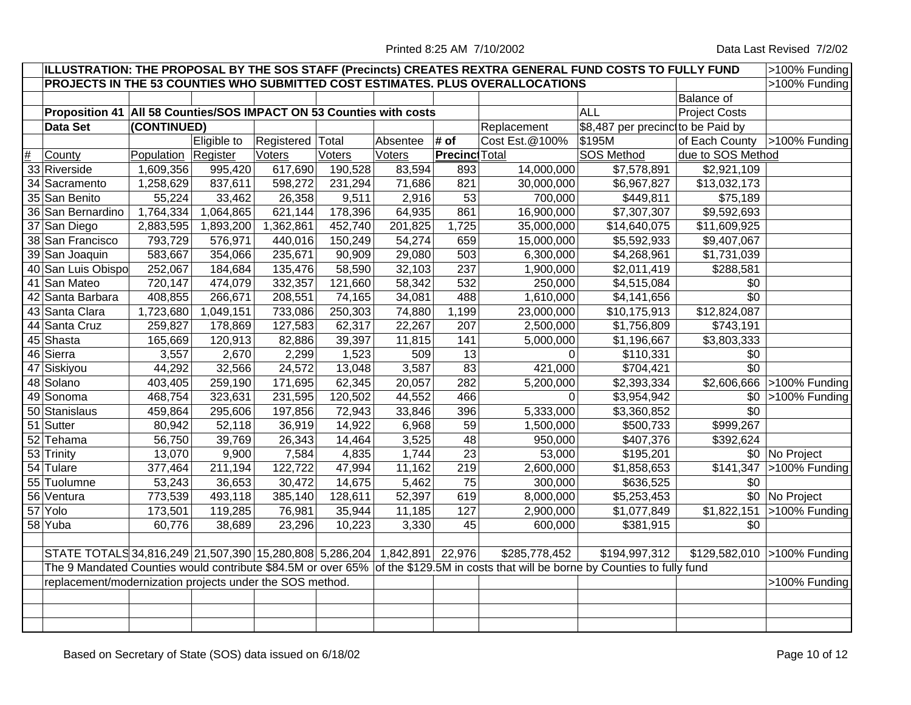|               |                                                                       |                     |             |                  |         |          |                       |                                                                                | ILLUSTRATION: THE PROPOSAL BY THE SOS STAFF (Precincts) CREATES REXTRA GENERAL FUND COSTS TO FULLY FUND                            |                              | >100% Funding               |
|---------------|-----------------------------------------------------------------------|---------------------|-------------|------------------|---------|----------|-----------------------|--------------------------------------------------------------------------------|------------------------------------------------------------------------------------------------------------------------------------|------------------------------|-----------------------------|
|               |                                                                       |                     |             |                  |         |          |                       | PROJECTS IN THE 53 COUNTIES WHO SUBMITTED COST ESTIMATES. PLUS OVERALLOCATIONS |                                                                                                                                    |                              | >100% Funding               |
|               |                                                                       |                     |             |                  |         |          |                       |                                                                                |                                                                                                                                    | Balance of                   |                             |
|               | Proposition 41   All 58 Counties/SOS IMPACT ON 53 Counties with costs |                     |             |                  |         |          |                       |                                                                                | <b>ALL</b>                                                                                                                         | <b>Project Costs</b>         |                             |
|               | <b>Data Set</b>                                                       | (CONTINUED)         |             |                  |         |          |                       | Replacement                                                                    | \$8,487 per precinc to be Paid by                                                                                                  |                              |                             |
|               |                                                                       |                     | Eligible to | Registered Total |         | Absentee | # of                  | Cost Est.@100%                                                                 | \$195M                                                                                                                             | of Each County >100% Funding |                             |
| $\frac{1}{4}$ | County                                                                | Population Register |             | <b>Voters</b>    | Voters  | Voters   | <b>Precinct Total</b> |                                                                                | SOS Method                                                                                                                         | due to SOS Method            |                             |
|               | 33 Riverside                                                          | 1,609,356           | 995,420     | 617,690          | 190,528 | 83,594   | 893                   | 14,000,000                                                                     | \$7,578,891                                                                                                                        | \$2,921,109                  |                             |
|               | 34 Sacramento                                                         | 1,258,629           | 837,611     | 598,272          | 231,294 | 71,686   | 821                   | 30,000,000                                                                     | \$6,967,827                                                                                                                        | \$13,032,173                 |                             |
|               | 35 San Benito                                                         | 55,224              | 33,462      | 26,358           | 9,511   | 2,916    | 53                    | 700,000                                                                        | \$449,811                                                                                                                          | \$75,189                     |                             |
|               | 36 San Bernardino                                                     | 1,764,334           | 1,064,865   | 621,144          | 178,396 | 64,935   | 861                   | 16,900,000                                                                     | \$7,307,307                                                                                                                        | \$9,592,693                  |                             |
|               | 37 San Diego                                                          | 2,883,595           | 1,893,200   | 1,362,861        | 452,740 | 201,825  | 1,725                 | 35,000,000                                                                     | $\overline{$14,640,075}$                                                                                                           | \$11,609,925                 |                             |
|               | 38 San Francisco                                                      | 793,729             | 576,971     | 440,016          | 150,249 | 54,274   | 659                   | 15,000,000                                                                     | \$5,592,933                                                                                                                        | $\overline{$9,40}$ 7,067     |                             |
|               | 39 San Joaquin                                                        | 583,667             | 354,066     | 235,671          | 90,909  | 29,080   | 503                   | 6,300,000                                                                      | \$4,268,961                                                                                                                        | \$1,731,039                  |                             |
|               | 40 San Luis Obispo                                                    | 252,067             | 184,684     | 135,476          | 58,590  | 32,103   | $\overline{237}$      | 1,900,000                                                                      | \$2,011,419                                                                                                                        | \$288,581                    |                             |
|               | 41 San Mateo                                                          | 720,147             | 474,079     | 332,357          | 121,660 | 58,342   | 532                   | 250,000                                                                        | \$4,515,084                                                                                                                        | $\sqrt{6}$                   |                             |
|               | 42 Santa Barbara                                                      | 408,855             | 266,671     | 208,551          | 74,165  | 34,081   | 488                   | 1,610,000                                                                      | \$4,141,656                                                                                                                        | \$0                          |                             |
|               | 43 Santa Clara                                                        | 1,723,680           | 1,049,151   | 733,086          | 250,303 | 74,880   | 1,199                 | 23,000,000                                                                     | \$10,175,913                                                                                                                       | \$12,824,087                 |                             |
|               | 44 Santa Cruz                                                         | 259,827             | 178,869     | 127,583          | 62,317  | 22,267   | 207                   | 2,500,000                                                                      | \$1,756,809                                                                                                                        | \$743,191                    |                             |
|               | 45 Shasta                                                             | 165,669             | 120,913     | 82,886           | 39,397  | 11,815   | 141                   | 5,000,000                                                                      | \$1,196,667                                                                                                                        | \$3,803,333                  |                             |
|               | 46 Sierra                                                             | 3,557               | 2,670       | 2,299            | 1,523   | 509      | 13                    | $\Omega$                                                                       | \$110,331                                                                                                                          | \$0                          |                             |
|               | 47 Siskiyou                                                           | 44,292              | 32,566      | 24,572           | 13,048  | 3,587    | $\overline{83}$       | 421,000                                                                        | \$704,421                                                                                                                          | $\overline{30}$              |                             |
|               | 48 Solano                                                             | 403,405             | 259,190     | 171,695          | 62,345  | 20,057   | 282                   | 5,200,000                                                                      | \$2,393,334                                                                                                                        |                              | $$2,606,666$ >100% Funding  |
|               | 49 Sonoma                                                             | 468,754             | 323,631     | 231,595          | 120,502 | 44,552   | 466                   | $\Omega$                                                                       | \$3,954,942                                                                                                                        | \$0                          | >100% Funding               |
|               | 50 Stanislaus                                                         | 459,864             | 295,606     | 197,856          | 72,943  | 33,846   | 396                   | 5,333,000                                                                      | \$3,360,852                                                                                                                        | \$0                          |                             |
|               | 51 Sutter                                                             | 80,942              | 52,118      | 36,919           | 14,922  | 6,968    | 59                    | 1,500,000                                                                      | \$500,733                                                                                                                          | \$999,267                    |                             |
|               | 52 Tehama                                                             | 56,750              | 39,769      | 26,343           | 14,464  | 3,525    | 48                    | 950,000                                                                        | \$407,376                                                                                                                          | \$392,624                    |                             |
|               | 53 Trinity                                                            | 13,070              | 9,900       | 7,584            | 4,835   | 1,744    | $\overline{23}$       | 53,000                                                                         | \$195,201                                                                                                                          |                              | \$0 No Project              |
|               | 54 Tulare                                                             | 377,464             | 211,194     | 122,722          | 47,994  | 11,162   | $\overline{219}$      | 2,600,000                                                                      | \$1,858,653                                                                                                                        | \$141,347                    | >100% Funding               |
|               | 55 Tuolumne                                                           | 53,243              | 36,653      | 30,472           | 14,675  | 5,462    | 75                    | 300,000                                                                        | \$636,525                                                                                                                          | \$0                          |                             |
|               | 56 Ventura                                                            | 773,539             | 493,118     | 385,140          | 128,611 | 52,397   | 619                   | 8,000,000                                                                      | \$5,253,453                                                                                                                        |                              | $\overline{\$0}$ No Project |
|               | 57 Yolo                                                               | 173,501             | 119,285     | 76,981           | 35,944  | 11,185   | 127                   | 2,900,000                                                                      | \$1,077,849                                                                                                                        | \$1,822,151                  | >100% Funding               |
|               | 58 Yuba                                                               | 60,776              | 38,689      | 23,296           | 10,223  | 3,330    | 45                    | 600,000                                                                        | \$381,915                                                                                                                          | \$0                          |                             |
|               |                                                                       |                     |             |                  |         |          |                       |                                                                                |                                                                                                                                    |                              |                             |
|               | STATE TOTALS 34,816,249 21,507,390 15,280,808 5,286,204 1,842,891     |                     |             |                  |         |          | 22,976                | \$285,778,452                                                                  | $\overline{$}194,997,312$                                                                                                          |                              | \$129,582,010 >100% Funding |
|               |                                                                       |                     |             |                  |         |          |                       |                                                                                | The 9 Mandated Counties would contribute \$84.5M or over 65% of the \$129.5M in costs that will be borne by Counties to fully fund |                              |                             |
|               | replacement/modernization projects under the SOS method.              |                     |             |                  |         |          |                       |                                                                                |                                                                                                                                    |                              | >100% Funding               |
|               |                                                                       |                     |             |                  |         |          |                       |                                                                                |                                                                                                                                    |                              |                             |
|               |                                                                       |                     |             |                  |         |          |                       |                                                                                |                                                                                                                                    |                              |                             |
|               |                                                                       |                     |             |                  |         |          |                       |                                                                                |                                                                                                                                    |                              |                             |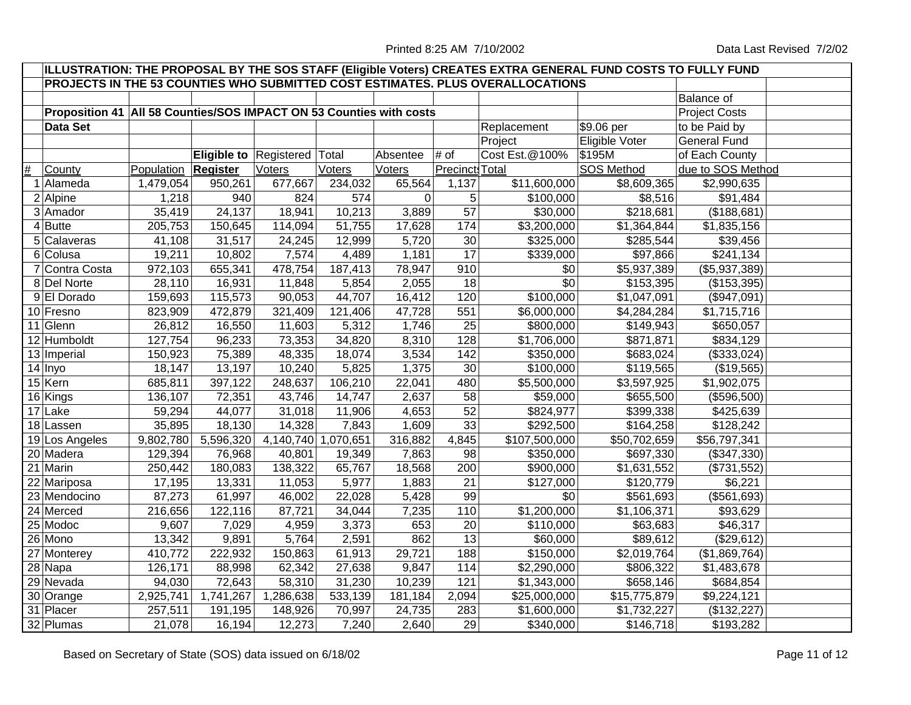|                                                                                | ILLUSTRATION: THE PROPOSAL BY THE SOS STAFF (Eligible Voters) CREATES EXTRA GENERAL FUND COSTS TO FULLY FUND |            |                 |                                     |                     |          |                        |                |                       |                      |  |
|--------------------------------------------------------------------------------|--------------------------------------------------------------------------------------------------------------|------------|-----------------|-------------------------------------|---------------------|----------|------------------------|----------------|-----------------------|----------------------|--|
| PROJECTS IN THE 53 COUNTIES WHO SUBMITTED COST ESTIMATES. PLUS OVERALLOCATIONS |                                                                                                              |            |                 |                                     |                     |          |                        |                |                       |                      |  |
|                                                                                |                                                                                                              |            |                 |                                     |                     |          |                        |                |                       | <b>Balance of</b>    |  |
|                                                                                | Proposition 41   All 58 Counties/SOS IMPACT ON 53 Counties with costs                                        |            |                 |                                     |                     |          |                        |                |                       | <b>Project Costs</b> |  |
|                                                                                | <b>Data Set</b>                                                                                              |            |                 |                                     |                     |          |                        | Replacement    | \$9.06 per            | to be Paid by        |  |
|                                                                                |                                                                                                              |            |                 |                                     |                     |          |                        | Project        | Eligible Voter        | <b>General Fund</b>  |  |
|                                                                                |                                                                                                              |            |                 | <b>Eligible to Registered Total</b> |                     | Absentee | # of                   | Cost Est.@100% | \$195M                | of Each County       |  |
| #                                                                              | County                                                                                                       | Population | <b>Register</b> | Voters                              | Voters              | Voters   | <b>Precinct: Total</b> |                | SOS Method            | due to SOS Method    |  |
|                                                                                | 1 Alameda                                                                                                    | 1,479,054  | 950,261         | 677,667                             | 234,032             | 65,564   | 1,137                  | \$11,600,000   | \$8,609,365           | \$2,990,635          |  |
|                                                                                | $2$ Alpine                                                                                                   | 1,218      | 940             | 824                                 | 574                 | 0        | 5                      | \$100,000      | \$8,516               | \$91,484             |  |
|                                                                                | 3 Amador                                                                                                     | 35,419     | 24,137          | 18,941                              | $\overline{10,213}$ | 3,889    | 57                     | \$30,000       | \$218,681             | (\$188,681)          |  |
|                                                                                | 4 Butte                                                                                                      | 205,753    | 150,645         | 114,094                             | 51,755              | 17,628   | 174                    | \$3,200,000    | \$1,364,844           | \$1,835,156          |  |
|                                                                                | 5 Calaveras                                                                                                  | 41,108     | 31,517          | 24,245                              | 12,999              | 5,720    | 30                     | \$325,000      | $\overline{$}285,544$ | \$39,456             |  |
|                                                                                | 6 Colusa                                                                                                     | 19,211     | 10,802          | 7,574                               | 4,489               | 1,181    | $\overline{17}$        | \$339,000      | \$97,866              | \$241,134            |  |
|                                                                                | 7 Contra Costa                                                                                               | 972,103    | 655,341         | 478,754                             | 187,413             | 78,947   | 910                    | \$0            | \$5,937,389           | (\$5,937,389)        |  |
|                                                                                | 8 Del Norte                                                                                                  | 28,110     | 16,931          | 11,848                              | 5,854               | 2,055    | $\overline{18}$        | \$0            | \$153,395             | (\$153,395)          |  |
|                                                                                | 9 El Dorado                                                                                                  | 159,693    | 115,573         | 90,053                              | 44,707              | 16,412   | 120                    | \$100,000      | \$1,047,091           | (\$947,091)          |  |
|                                                                                | 10 Fresno                                                                                                    | 823,909    | 472,879         | 321,409                             | 121,406             | 47,728   | 551                    | \$6,000,000    | \$4,284,284           | \$1,715,716          |  |
|                                                                                | 11 Glenn                                                                                                     | 26,812     | 16,550          | 11,603                              | 5,312               | 1,746    | 25                     | \$800,000      | \$149,943             | \$650,057            |  |
|                                                                                | 12 Humboldt                                                                                                  | 127,754    | 96,233          | 73,353                              | 34,820              | 8,310    | 128                    | \$1,706,000    | \$871,871             | \$834,129            |  |
|                                                                                | 13 Imperial                                                                                                  | 150,923    | 75,389          | 48,335                              | 18,074              | 3,534    | 142                    | \$350,000      | \$683,024             | (\$333,024)          |  |
|                                                                                | $14$ Inyo                                                                                                    | 18,147     | 13,197          | 10,240                              | 5,825               | 1,375    | 30                     | \$100,000      | \$119,565             | (\$19,565)           |  |
|                                                                                | $15$ Kern                                                                                                    | 685,811    | 397,122         | 248,637                             | 106,210             | 22,041   | 480                    | \$5,500,000    | \$3,597,925           | \$1,902,075          |  |
|                                                                                | 16 Kings                                                                                                     | 136,107    | 72,351          | 43,746                              | 14,747              | 2,637    | 58                     | \$59,000       | \$655,500             | (\$596,500)          |  |
|                                                                                | 17 Lake                                                                                                      | 59,294     | 44,077          | 31,018                              | 11,906              | 4,653    | 52                     | \$824,977      | \$399,338             | \$425,639            |  |
|                                                                                | 18 Lassen                                                                                                    | 35,895     | 18,130          | 14,328                              | 7,843               | 1,609    | 33                     | \$292,500      | \$164,258             | \$128,242            |  |
|                                                                                | 19 Los Angeles                                                                                               | 9,802,780  | 5,596,320       | 4,140,740 1,070,651                 |                     | 316,882  | 4,845                  | \$107,500,000  | \$50,702,659          | \$56,797,341         |  |
|                                                                                | 20 Madera                                                                                                    | 129,394    | 76,968          | 40,801                              | 19,349              | 7,863    | 98                     | \$350,000      | \$697,330             | (\$347,330)          |  |
|                                                                                | 21 Marin                                                                                                     | 250,442    | 180,083         | 138,322                             | 65,767              | 18,568   | 200                    | \$900,000      | \$1,631,552           | (\$731,552)          |  |
|                                                                                | 22 Mariposa                                                                                                  | 17,195     | 13,331          | 11,053                              | 5,977               | 1,883    | 21                     | \$127,000      | \$120,779             | \$6,221              |  |
|                                                                                | 23 Mendocino                                                                                                 | 87,273     | 61,997          | 46,002                              | 22,028              | 5,428    | 99                     | \$0            | \$561,693             | (\$561,693)          |  |
|                                                                                | 24 Merced                                                                                                    | 216,656    | 122,116         | 87,721                              | 34,044              | 7,235    | 110                    | \$1,200,000    | \$1,106,371           | \$93,629             |  |
|                                                                                | 25 Modoc                                                                                                     | 9,607      | 7,029           | 4,959                               | 3,373               | 653      | 20                     | \$110,000      | \$63,683              | \$46,317             |  |
|                                                                                | 26 Mono                                                                                                      | 13,342     | 9,891           | 5,764                               | 2,591               | 862      | 13                     | \$60,000       | \$89,612              | (\$29,612)           |  |
|                                                                                | 27 Monterey                                                                                                  | 410,772    | 222,932         | 150,863                             | 61,913              | 29,721   | 188                    | \$150,000      | \$2,019,764           | (\$1,869,764)        |  |
|                                                                                | $28$ Napa                                                                                                    | 126,171    | 88,998          | 62,342                              | 27,638              | 9,847    | 114                    | \$2,290,000    | \$806,322             | \$1,483,678          |  |
|                                                                                | 29 Nevada                                                                                                    | 94,030     | 72,643          | 58,310                              | 31,230              | 10,239   | 121                    | \$1,343,000    | \$658,146             | \$684,854            |  |
|                                                                                | 30 Orange                                                                                                    | 2,925,741  | 1,741,267       | 1,286,638                           | 533,139             | 181,184  | 2,094                  | \$25,000,000   | \$15,775,879          | \$9,224,121          |  |
|                                                                                | 31 Placer                                                                                                    | 257,511    | 191,195         | 148,926                             | 70,997              | 24,735   | 283                    | \$1,600,000    | \$1,732,227           | (\$132,227)          |  |
|                                                                                | 32 Plumas                                                                                                    | 21,078     | 16,194          | 12,273                              | 7,240               | 2,640    | 29                     | \$340,000      | \$146,718             | \$193,282            |  |